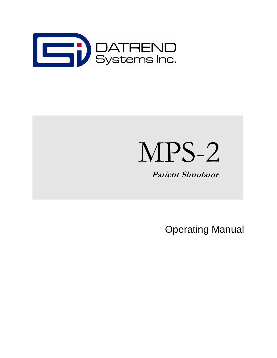

## MPS-2

 **Patient Simulator** 

Operating Manual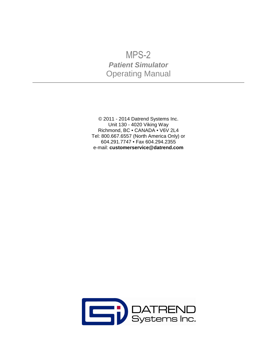## MPS-2 **Patient Simulator** Operating Manual

© 2011 - 2014 Datrend Systems Inc. Unit 130 - 4020 Viking Way Richmond, BC · CANADA · V6V 2L4 Tel: 800.667.6557 (North America Only) or 604.291.7747 • Fax 604.294.2355 e-mail: **customerservice@datrend.com**

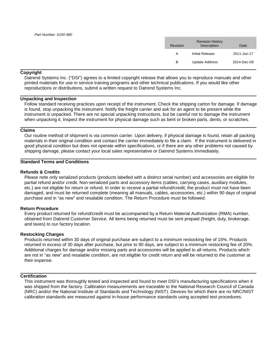| Revision | <b>Revision History</b><br><b>Description</b> | Date        |
|----------|-----------------------------------------------|-------------|
| А        | Initial Release                               | 2011-Jun-17 |
| в        | <b>Update Address</b>                         | 2014-Dec-09 |

#### **Copyright**

Datrend Systems Inc. ("DSI") agrees to a limited copyright release that allows you to reproduce manuals and other printed materials for use in service training programs and other technical publications. If you would like other reproductions or distributions, submit a written request to Datrend Systems Inc.

#### **Unpacking and Inspection**

Follow standard receiving practices upon receipt of the instrument. Check the shipping carton for damage. If damage is found, stop unpacking the instrument. Notify the freight carrier and ask for an agent to be present while the instrument is unpacked. There are no special unpacking instructions, but be careful not to damage the instrument when unpacking it. Inspect the instrument for physical damage such as bent or broken parts, dents, or scratches.

#### **Claims**

Our routine method of shipment is via common carrier. Upon delivery, if physical damage is found, retain all packing materials in their original condition and contact the carrier immediately to file a claim. If the instrument is delivered in good physical condition but does not operate within specifications, or if there are any other problems not caused by shipping damage, please contact your local sales representative or Datrend Systems immediately.

#### **Standard Terms and Conditions**

#### **Refunds & Credits**

Please note only serialized products (products labelled with a distinct serial number) and accessories are eligible for partial refund and/or credit. Non-serialized parts and accessory items (cables, carrying cases, auxiliary modules, etc.) are not eligible for return or refund. In order to receive a partial refund/credit, the product must not have been damaged, and must be returned complete (meaning all manuals, cables, accessories, etc.) within 90 days of original purchase and in "as new" and resalable condition. The Return Procedure must be followed.

#### **Return Procedure**

Every product returned for refund/credit must be accompanied by a Return Material Authorization (RMA) number, obtained from Datrend Customer Service. All items being returned must be sent prepaid (freight, duty, brokerage, and taxes) to our factory location.

#### **Restocking Charges**

Products returned within 30 days of original purchase are subject to a minimum restocking fee of 15%. Products returned in excess of 30 days after purchase, but prior to 90 days, are subject to a minimum restocking fee of 20%. Additional charges for damage and/or missing parts and accessories will be applied to all returns. Products which are not in "as new" and resalable condition, are not eligible for credit return and will be returned to the customer at their expense.

#### **Certification**

This instrument was thoroughly tested and inspected and found to meet DSI's manufacturing specifications when it was shipped from the factory. Calibration measurements are traceable to the National Research Council of Canada (NRC) and/or the National Institute of Standards and Technology (NIST). Devices for which there are no NRC/NIST calibration standards are measured against in-house performance standards using accepted test procedures.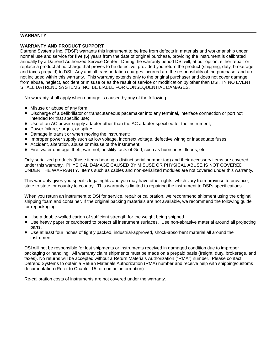#### **WARRANTY**

#### **WARRANTY AND PRODUCT SUPPORT**

Datrend Systems Inc. ("DSI") warrants this instrument to be free from defects in materials and workmanship under normal use and service for **five (5)** years from the date of original purchase, providing the instrument is calibrated annually by a Datrend Authorized Service Center. During the warranty period DSI will, at our option, either repair or replace a product at no charge that proves to be defective; provided you return the product (shipping, duty, brokerage and taxes prepaid) to DSI. Any and all transportation charges incurred are the responsibility of the purchaser and are not included within this warranty. This warranty extends only to the original purchaser and does not cover damage from abuse, neglect, accident or misuse or as the result of service or modification by other than DSI. IN NO EVENT SHALL DATREND SYSTEMS INC. BE LIABLE FOR CONSEQUENTIAL DAMAGES.

No warranty shall apply when damage is caused by any of the following:

- Misuse or abuse of any form;
- ! Discharge of a defibrillator or transcutaneous pacemaker into any terminal, interface connection or port not intended for that specific use;
- ! Use of an AC power supply adapter other than the AC adapter specified for the instrument;
- Power failure, surges, or spikes;
- Damage in transit or when moving the instrument;
- ! Improper power supply such as low voltage, incorrect voltage, defective wiring or inadequate fuses;
- ! Accident, alteration, abuse or misuse of the instrument;
- ! Fire, water damage, theft, war, riot, hostility, acts of God, such as hurricanes, floods, etc.

Only serialized products (those items bearing a distinct serial number tag) and their accessory items are covered under this warranty. PHYSICAL DAMAGE CAUSED BY MISUSE OR PHYSICAL ABUSE IS NOT COVERED UNDER THE WARRANTY. Items such as cables and non-serialized modules are not covered under this warranty.

This warranty gives you specific legal rights and you may have other rights, which vary from province to province, state to state, or country to country. This warranty is limited to repairing the instrument to DSI's specifications.

When you return an instrument to DSI for service, repair or calibration, we recommend shipment using the original shipping foam and container. If the original packing materials are not available, we recommend the following guide for repackaging:

- ! Use a double-walled carton of sufficient strength for the weight being shipped.
- ! Use heavy paper or cardboard to protect all instrument surfaces. Use non-abrasive material around all projecting parts.
- ! Use at least four inches of tightly packed, industrial-approved, shock-absorbent material all around the instrument.

DSI will not be responsible for lost shipments or instruments received in damaged condition due to improper packaging or handling. All warranty claim shipments must be made on a prepaid basis (freight, duty, brokerage, and taxes). No returns will be accepted without a Return Materials Authorization ("RMA") number. Please contact Datrend Systems to obtain a Return Materials Authorization (RMA) number and receive help with shipping/customs documentation (Refer to Chapter 15 for contact information).

Re-calibration costs of instruments are not covered under the warranty.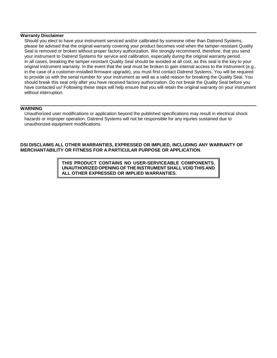#### **Warranty Disclaimer**

Should you elect to have your instrument serviced and/or calibrated by someone other than Datrend Systems, please be advised that the original warranty covering your product becomes void when the tamper-resistant Quality Seal is removed or broken without proper factory authorization. We strongly recommend, therefore, that you send your instrument to Datrend Systems for service and calibration, especially during the original warranty period. In all cases, breaking the tamper-resistant Quality Seal should be avoided at all cost, as this seal is the key to your original instrument warranty. In the event that the seal must be broken to gain internal access to the instrument (e.g., in the case of a customer-installed firmware upgrade), you must first contact Datrend Systems. You will be required to provide us with the serial number for your instrument as well as a valid reason for breaking the Quality Seal. You should break this seal only after you have received factory authorization. Do not break the Quality Seal before you have contacted us! Following these steps will help ensure that you will retain the original warranty on your instrument without interruption.

#### **WARNING**

Unauthorized user modifications or application beyond the published specifications may result in electrical shock hazards or improper operation. Datrend Systems will not be responsible for any injuries sustained due to unauthorized equipment modifications.

**DSI DISCLAIMS ALL OTHER WARRANTIES, EXPRESSED OR IMPLIED, INCLUDING ANY WARRANTY OF MERCHANTABILITY OR FITNESS FOR A PARTICULAR PURPOSE OR APPLICATION**.

> **THIS PRODUCT CONTAINS NO USER-SERVICEABLE COMPONENTS. UNAUTHORIZED OPENING OF THE INSTRUMENT SHALL VOID THIS AND ALL OTHER EXPRESSED OR IMPLIED WARRANTIES.**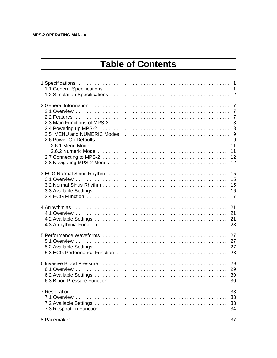## **Table of Contents**

|               | 11<br>12                   |
|---------------|----------------------------|
|               | 15<br>15<br>15<br>16<br>17 |
|               |                            |
|               |                            |
|               |                            |
| 7 Respiration | 33<br>33<br>33<br>34       |
|               | 37                         |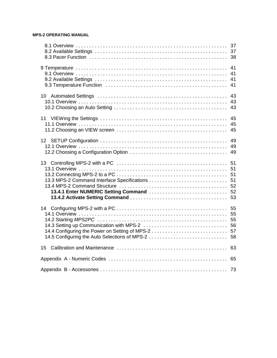|                                                                                                 | 37                               |
|-------------------------------------------------------------------------------------------------|----------------------------------|
|                                                                                                 | 41<br>41<br>41<br>41             |
|                                                                                                 | 43<br>43<br>43                   |
|                                                                                                 | 45<br>45                         |
|                                                                                                 | 49                               |
|                                                                                                 | 51<br>51<br>51<br>51<br>52<br>53 |
| 14.4 Configuring the Power on Setting of MPS-2<br>14.5 Configuring the Auto Selections of MPS-2 | 55<br>55<br>55<br>56<br>57<br>58 |
| 15                                                                                              |                                  |
|                                                                                                 |                                  |
|                                                                                                 |                                  |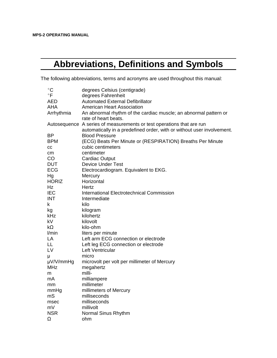## **Abbreviations, Definitions and Symbols**

The following abbreviations, terms and acronyms are used throughout this manual:

| $^{\circ}$ C | degrees Celsius (centigrade)                                           |
|--------------|------------------------------------------------------------------------|
| $\circ$ F    | degrees Fahrenheit                                                     |
| <b>AED</b>   | <b>Automated External Defibrillator</b>                                |
| AHA          | <b>American Heart Association</b>                                      |
| Arrhythmia   | An abnormal rhythm of the cardiac muscle; an abnormal pattern or       |
|              | rate of heart beats.                                                   |
|              | Autosequence A series of measurements or test operations that are run  |
|              | automatically in a predefined order, with or without user involvement. |
| <b>BP</b>    | <b>Blood Pressure</b>                                                  |
| <b>BPM</b>   | (ECG) Beats Per Minute or (RESPIRATION) Breaths Per Minute             |
| CC           | cubic centimeters                                                      |
| cm           | centimeter                                                             |
| <b>CO</b>    | <b>Cardiac Output</b>                                                  |
| <b>DUT</b>   | <b>Device Under Test</b>                                               |
| <b>ECG</b>   | Electrocardiogram. Equivalent to EKG.                                  |
| Hg           | Mercury                                                                |
| <b>HORIZ</b> | Horizontal                                                             |
| Hz           | Hertz                                                                  |
| <b>IEC</b>   | <b>International Electrotechnical Commission</b>                       |
| <b>INT</b>   | Intermediate                                                           |
| k.           | kilo                                                                   |
| kg           | kilogram                                                               |
| kHz          | kilohertz                                                              |
| kV           | kilovolt                                                               |
| $k\Omega$    | kilo-ohm                                                               |
| l/min        | liters per minute                                                      |
| LA           | Left arm ECG connection or electrode                                   |
| LL           | Left leg ECG connection or electrode                                   |
| LV           | Left Ventricular                                                       |
| μ            | micro                                                                  |
| µV/V/mmHg    | microvolt per volt per millimeter of Mercury                           |
| <b>MHz</b>   | megahertz                                                              |
| m            | milli-                                                                 |
| mA           | milliampere                                                            |
| mm           | millimeter                                                             |
| mmHg         | millimeters of Mercury                                                 |
| mS           | milliseconds                                                           |
| msec         | milliseconds                                                           |
| mV           | millivolt                                                              |
| <b>NSR</b>   | Normal Sinus Rhythm                                                    |
| Ω            | ohm                                                                    |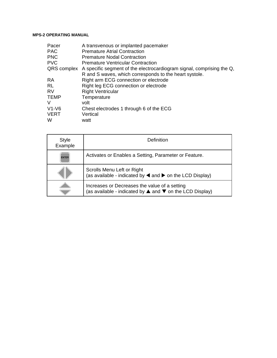| Pacer       | A transvenous or implanted pacemaker                                              |
|-------------|-----------------------------------------------------------------------------------|
| <b>PAC</b>  | <b>Premature Atrial Contraction</b>                                               |
| <b>PNC</b>  | <b>Premature Nodal Contraction</b>                                                |
| <b>PVC</b>  | <b>Premature Ventricular Contraction</b>                                          |
|             | QRS complex A specific segment of the electrocardiogram signal, comprising the Q, |
|             | R and S waves, which corresponds to the heart systole.                            |
| <b>RA</b>   | Right arm ECG connection or electrode                                             |
| <b>RL</b>   | Right leg ECG connection or electrode                                             |
| <b>RV</b>   | <b>Right Ventricular</b>                                                          |
| <b>TEMP</b> | Temperature                                                                       |
| V           | volt                                                                              |
| $V1-V6$     | Chest electrodes 1 through 6 of the ECG                                           |
| <b>VERT</b> | Vertical                                                                          |
| W           | watt                                                                              |

| Style<br>Example | Definition                                                                                                                    |  |
|------------------|-------------------------------------------------------------------------------------------------------------------------------|--|
| <b>ENTER</b>     | Activates or Enables a Setting, Parameter or Feature.                                                                         |  |
|                  | Scrolls Menu Left or Right<br>(as available - indicated by $\blacktriangleleft$ and $\blacktriangleright$ on the LCD Display) |  |
|                  | Increases or Decreases the value of a setting<br>(as available - indicated by ▲ and ▼ on the LCD Display)                     |  |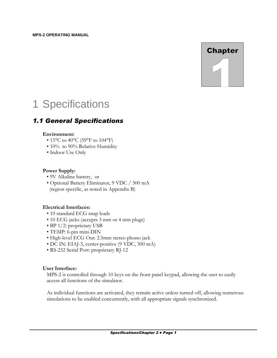## **Chapter**

## 1 Specifications

## *1.1 General Specifications*

#### **Environment:**

- 15 $^{\circ}$ C to 40 $^{\circ}$ C (59 $^{\circ}$ F to 104 $^{\circ}$ F)
- 10% to 90% Relative Humidity
- Indoor Use Only

#### **Power Supply:**

- 9V Alkaline battery, or
- Optional Battery Eliminator, 9 VDC / 500 mA (region specific, as noted in Appendix B)

#### **Electrical Interfaces:**

- 10 standard ECG snap leads
- 10 ECG jacks (accepts 3 mm or 4 mm plugs)
- BP 1/2: proprietary USB
- TEMP: 6-pin mini-DIN
- High-level ECG Out: 2.5mm stereo phono jack
- DC IN: EIAJ-3, center-positive (9 VDC, 500 mA)
- RS-232 Serial Port: proprietary RJ-12

#### **User Interface:**

MPS-2 is controlled through 10 keys on the front panel keypad, allowing the user to easily access all functions of the simulator.

As individual functions are activated, they remain active unless turned off, allowing numerous simulations to be enabled concurrently, with all appropriate signals synchronized.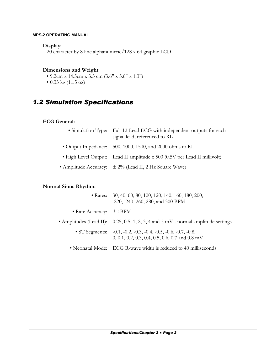#### **Display:**

20 character by 8 line alphanumeric/128 x 64 graphic LCD

#### **Dimensions and Weight:**

- 9.2cm x 14.5cm x 3.3 cm (3.6" x 5.6" x 1.3")
- 0.33 kg (11.5 oz)

## *1.2 Simulation Specifications*

#### **ECG General:**

- Simulation Type: Full 12-Lead ECG with independent outputs for each signal lead, referenced to RL
- Output Impedance: 500, 1000, 1500, and 2000 ohms to RL
- High Level Output: Lead II amplitude x 500 (0.5V per Lead II millivolt)
- Amplitude Accuracy:  $\pm 2\%$  (Lead II, 2 Hz Square Wave)

#### **Normal Sinus Rhythm:**

|                             | • Rates: 30, 40, 60, 80, 100, 120, 140, 160, 180, 200,<br>220, 240, 260, 280, and 300 BPM                               |
|-----------------------------|-------------------------------------------------------------------------------------------------------------------------|
| • Rate Accuracy: $\pm$ 1BPM |                                                                                                                         |
|                             | • Amplitudes (Lead II): $0.25, 0.5, 1, 2, 3, 4$ and $5 \text{ mV}$ - normal amplitude settings                          |
|                             | • ST Segments: $-0.1, -0.2, -0.3, -0.4, -0.5, -0.6, -0.7, -0.8,$<br>$0, 0.1, 0.2, 0.3, 0.4, 0.5, 0.6, 0.7$ and $0.8$ mV |
|                             | • Neonatal Mode: ECG R-wave width is reduced to 40 milliseconds                                                         |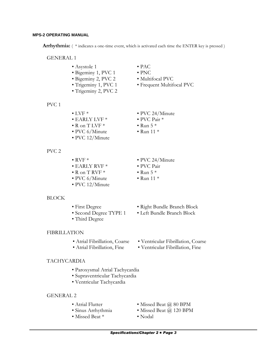Arrhythmia: (\*indicates a one-time event, which is activated each time the ENTER key is pressed)

• PAC • PNC

- GENERAL 1
	- Asystole 1
	- Bigeminy 1, PVC 1
	- Bigeminy 2, PVC 2
	- Trigeminy 1, PVC 1
	- Trigeminy 2, PVC 2

PVC 1

- $\bullet$  LVF  $*$
- EARLY LVF \*
- $\bullet$  R on T LVF  $*$
- PVC 6/Minute
- PVC 12/Minute
- PVC 2
- $\bullet$  RVF  $*$
- EARLY RVF \*
- $\cdot$  R on T RVF  $*$
- PVC 6/Minute
- PVC 12/Minute

#### BLOCK

- First Degree
- Second Degree TYPE 1
- Third Degree
- FIBRILLATION
	- Atrial Fibrillation, Coarse
	- Atrial Fibrillation, Fine
- TACHYCARDIA
	- Paroxysmal Atrial Tachycardia
	- Supraventricular Tachycardia
	- Ventricular Tachycardia

#### GENERAL 2

- Atrial Flutter
- Sinus Arrhythmia
- Missed Beat \*
- Missed Beat @ 80 BPM
- Missed Beat @ 120 BPM
- Nodal
- 

• PVC 24/Minute

• Multifocal PVC

• Frequent Multifocal PVC

- PVC Pair \*
- 
- PVC 24/Minute
- PVC Pair
- Run  $5 *$
- $\bullet$  Run 11  $*$
- Right Bundle Branch Block
- Left Bundle Branch Block
- Ventricular Fibrillation, Coarse
- Ventricular Fibrillation, Fine
- 
- $\bullet$  Run 5  $*$  $\bullet$  Run 11  $*$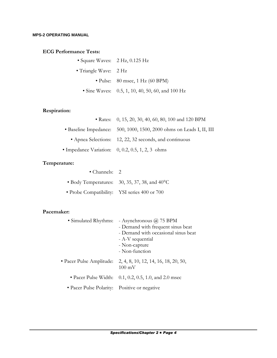#### **ECG Performance Tests:**

- Square Waves: 2 Hz, 0.125 Hz
- Triangle Wave: 2 Hz
	- Pulse: 80 msec, 1 Hz (60 BPM)
	- Sine Waves: 0.5, 1, 10, 40, 50, 60, and 100 Hz

#### **Respiration:**

| • Rates: 0, 15, 20, 30, 40, 60, 80, 100 and 120 BPM                  |
|----------------------------------------------------------------------|
| • Baseline Impedance: 500, 1000, 1500, 2000 ohms on Leads I, II, III |
| • Apnea Selections: 12, 22, 32 seconds, and continuous               |
| • Impedance Variation: $0, 0.2, 0.5, 1, 2, 3$ ohms                   |

#### **Temperature:**

| • Channels: $2$                              |                                                                    |
|----------------------------------------------|--------------------------------------------------------------------|
|                                              | $\bullet$ Body Temperatures: 30, 35, 37, 38, and 40 <sup>o</sup> C |
| • Probe Compatibility: YSI series 400 or 700 |                                                                    |

#### **Pacemaker:**

| • Simulated Rhythms:                         | - Asynchronous $\omega$ 75 BPM<br>- Demand with frequent sinus beat<br>- Demand with occasional sinus beat<br>- A-V sequential<br>- Non-capture<br>- Non-function |
|----------------------------------------------|-------------------------------------------------------------------------------------------------------------------------------------------------------------------|
| • Pacer Pulse Amplitude:                     | 2, 4, 8, 10, 12, 14, 16, 18, 20, 50,<br>$100 \text{ mV}$                                                                                                          |
|                                              | • Pacer Pulse Width: $0.1, 0.2, 0.5, 1.0,$ and 2.0 msec                                                                                                           |
| • Pacer Pulse Polarity: Positive or negative |                                                                                                                                                                   |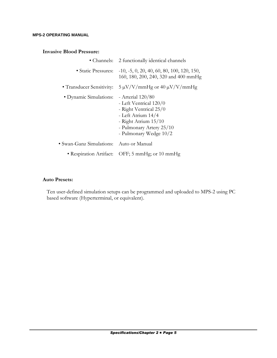#### **Invasive Blood Pressure:**

| • Channels:               | 2 functionally identical channels                                                                                                                                             |
|---------------------------|-------------------------------------------------------------------------------------------------------------------------------------------------------------------------------|
| • Static Pressures:       | $-10, -5, 0, 20, 40, 60, 80, 100, 120, 150,$<br>160, 180, 200, 240, 320 and 400 mmHg                                                                                          |
| • Transducer Sensitivity: | $5 \mu V/V/mmHg$ or 40 $\mu V/V/mmHg$                                                                                                                                         |
| • Dynamic Simulations:    | - Arterial $120/80$<br>- Left Ventrical 120/0<br>- Right Ventrical 25/0<br>- Left Atrium 14/4<br>- Right Atrium $15/10$<br>- Pulmonary Artery 25/10<br>- Pulmonary Wedge 10/2 |
| • Swan-Ganz Simulations:  | - Auto or Manual                                                                                                                                                              |
|                           | • Respiration Artifact: OFF; 5 mmHg; or 10 mmHg                                                                                                                               |

#### **Auto Presets:**

Ten user-defined simulation setups can be programmed and uploaded to MPS-2 using PC based software (Hyperterminal, or equivalent).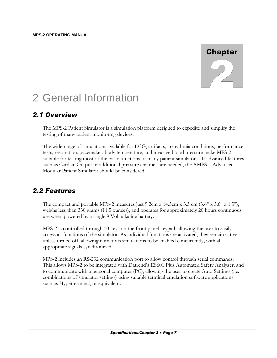

## 2 General Information

## *2.1 Overview*

The MPS-2 Patient Simulator is a simulation platform designed to expedite and simplify the testing of many patient monitoring devices.

The wide range of simulations available for ECG, artifacts, arrhythmia conditions, performance tests, respiration, pacemaker, body temperature, and invasive blood pressure make MPS-2 suitable for testing most of the basic functions of many patient simulators. If advanced features such as Cardiac Output or additional pressure channels are needed, the AMPS-1 Advanced Modular Patient Simulator should be considered.

## *2.2 Features*

The compact and portable MPS-2 measures just  $9.2 \text{cm} \times 14.5 \text{cm} \times 3.3 \text{cm}$  (3.6"  $\times 5.6$ "  $\times 1.3$ "), weighs less than 330 grams (11.5 ounces), and operates for approximately 20 hours continuous use when powered by a single 9 Volt alkaline battery.

MPS-2 is controlled through 10 keys on the front panel keypad, allowing the user to easily access all functions of the simulator. As individual functions are activated, they remain active unless turned off, allowing numerous simulations to be enabled concurrently, with all appropriate signals synchronized.

MPS-2 includes an RS-232 communication port to allow control through serial commands. This allows MPS-2 to be integrated with Datrend's ES601 Plus Automated Safety Analyzer, and to communicate with a personal computer (PC), allowing the user to create Auto Settings (i.e. combinations of simulator settings) using suitable terminal emulation software applications such as Hyperterminal, or equivalent.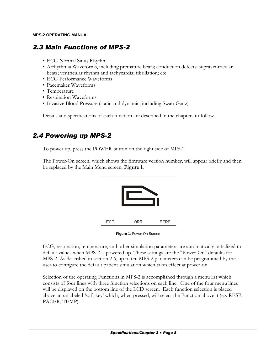## *2.3 Main Functions of MPS-2*

- ECG Normal Sinus Rhythm
- Arrhythmia Waveforms, including premature beats; conduction defects; supraventricular beats; ventricular rhythm and tachycardia; fibrillation; etc.
- ECG Performance Waveforms
- Pacemaker Waveforms
- Temperature
- Respiration Waveforms
- Invasive Blood Pressure (static and dynamic, including Swan-Ganz)

Details and specifications of each function are described in the chapters to follow.

## *2.4 Powering up MPS-2*

To power up, press the POWER button on the right side of MPS-2.

The Power-On screen, which shows the firmware version number, will appear briefly and then be replaced by the Main Menu screen, **Figure 1**.



**Figure 1**: Power On Screen

ECG, respiration, temperature, and other simulation parameters are automatically initialized to default values when MPS-2 is powered up. These settings are the "Power-On" defaults for MPS-2. As described in section 2.6, up to ten MPS-2 parameters can be programmed by the user to configure the default patient simulation which takes effect at power-on.

Selection of the operating Functions in MPS-2 is accomplished through a menu list which consists of four lines with three function selections on each line. One of the four menu lines will be displayed on the bottom line of the LCD screen. Each function selection is placed above an unlabeled 'soft-key' which, when pressed, will select the Function above it (eg. RESP, PACER, TEMP).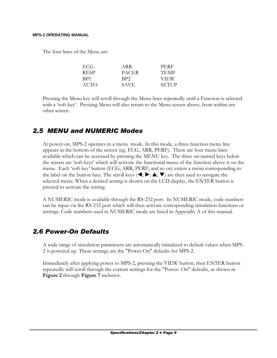The four lines of the Menu are:

| ECG  | ARR         | PERF         |
|------|-------------|--------------|
| RESP | PACER       | <b>TEMP</b>  |
| BP1  | BP2         | <b>VIEW</b>  |
| AUTO | <b>SAVE</b> | <b>SETUP</b> |

Pressing the Menu key will scroll through the Menu lines repeatedly until a Function is selected with a 'soft-key'. Pressing Menu will also return to the Menu screen above, from within any other screen.

#### *2.5 MENU and NUMERIC Modes*

At power-on, MPS-2 operates in a menu mode. In this mode, a three function menu line appears at the bottom of the screen (eg. ECG, ARR, PERF). There are four menu lines available which can be accessed by pressing the MENU key. The three un-named keys below the screen are 'soft-keys' which will activate the functional menu of the function above it on the menu. Each 'soft-key' button (ECG; ARR; PERF; and so on) enters a menu corresponding to the label on the button face. The scroll keys  $(\blacktriangleleft; \blacktriangleright; \blacktriangle; \blacktriangledown)$  are then used to navigate the selected menu. When a desired setting is shown on the LCD display, the ENTER button is pressed to activate the setting.

A NUMERIC mode is available through the RS-232 port. In NUMERIC mode, code numbers can be input via the RS-232 port which will then activate corresponding simulation functions or settings. Code numbers used in NUMERIC mode are listed in Appendix A of this manual.

#### *2.6 Power-On Defaults*

A wide range of simulation parameters are automatically initialized to default values when MPS-2 is powered up. These settings are the "Power-On" defaults for MPS-2.

Immediately after applying power to MPS-2, pressing the VIEW button, then ENTER button repeatedly will scroll through the current settings for the "Power- On" defaults, as shown in **Figure 2** through **Figure 7** inclusive.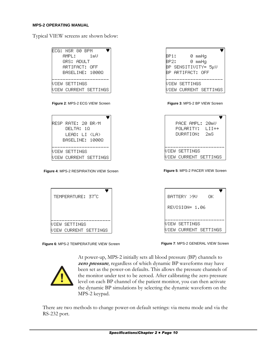Typical VIEW screens are shown below:

| 0 mmHq<br>BP1:<br>BP2: compared and a<br>0 mmHa<br>BP SENSITIVITY= 5μU<br>BP ARTIFACT: OFF |
|--------------------------------------------------------------------------------------------|
| VIEW SETTINGS                                                                              |
| VIEW CURRENT SETTINGS                                                                      |
| Figure 3: MPS-2 BP VIEW Screen                                                             |
| PACE AMPL: 20mU<br>POLARITY: LII=+<br><b>OURATION:</b> 2mS                                 |
| UIEW SETTINGS                                                                              |
|                                                                                            |

Figure 4: MPS-2 RESPIRATION VIEW Screen



Figure 6: MPS-2 TEMPERATURE VIEW Screen

Figure 5: MPS-2 PACER VIEW Screen

| BATTERY >9U    | OΚ                    |
|----------------|-----------------------|
| RFUISION= 1.06 |                       |
| UIEW SETTINGS  |                       |
|                | VIEW CURRENT SETTINGS |

Figure 7: MPS-2 GENERAL VIEW Screen



At power-up, MPS-2 initially sets all blood pressure (BP) channels to zero pressure, regardless of which dynamic BP waveforms may have been set as the power-on defaults. This allows the pressure channels of the monitor under test to be zeroed. After calibrating the zero pressure level on each BP channel of the patient monitor, you can then activate the dynamic BP simulations by selecting the dynamic waveform on the MPS-2 keypad.

There are two methods to change power-on default settings: via menu mode and via the RS-232 port.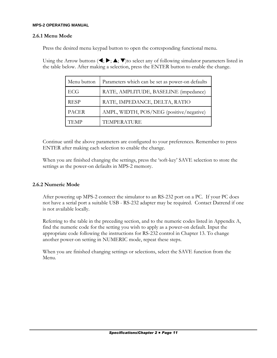#### **2.6.1 Menu Mode**

Press the desired menu keypad button to open the corresponding functional menu.

Using the Arrow buttons ( $\blacktriangleleft; \blacktriangleright; \blacktriangle; \blacktriangledown$ )to select any of following simulator parameters listed in the table below. After making a selection, press the ENTER button to enable the change.

| Menu button  | Parameters which can be set as power-on defaults |
|--------------|--------------------------------------------------|
| ECG          | RATE, AMPLITUDE, BASELINE (impedance)            |
| <b>RESP</b>  | RATE, IMPEDANCE, DELTA, RATIO                    |
| <b>PACER</b> | AMPL, WIDTH, POS/NEG (positive/negative)         |
| TEMP         | TEMPERATURE                                      |

Continue until the above parameters are configured to your preferences. Remember to press ENTER after making each selection to enable the change.

When you are finished changing the settings, press the 'soft-key' SAVE selection to store the settings as the power-on defaults in MPS-2 memory.

#### **2.6.2 Numeric Mode**

After powering up MPS-2 connect the simulator to an RS-232 port on a PC. If your PC does not have a serial port a suitable USB - RS-232 adapter may be required. Contact Datrend if one is not available locally.

Referring to the table in the preceding section, and to the numeric codes listed in Appendix A, find the numeric code for the setting you wish to apply as a power-on default. Input the appropriate code following the instructions for RS-232 control in Chapter 13. To change another power-on setting in NUMERIC mode, repeat these steps.

When you are finished changing settings or selections, select the SAVE function from the Menu.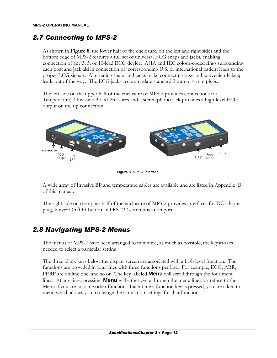## *2.7 Connecting to MPS-2*

As shown in **Figure 8**, the lower half of the enclosure, on the left and right sides and the bottom edge of MPS-2 features a full set of universal ECG snaps and jacks, enabling connection of any 3, 5, or 10-lead ECG device. AHA and IEC colour-coded rings surrounding each post and jack aid in connection of corresponding U.S. or international patient leads to the proper ECG signals. Alternating snaps and jacks make connecting easy and conveniently keep leads out of the way. The ECG jacks accommodate standard 3 mm or 4 mm plugs.

The left side on the upper half of the enclosure of MPS-2 provides connections for Temperature, 2 Invasive Blood Pressures and a stereo phono jack provides a high-level ECG output on the tip connection.



**Figure 8**: MPS-2 Interface

A wide array of Invasive BP and temperature cables are available and are listed in Appendix B of this manual.

The right side on the upper half of the enclosure of MPS-2 provides interfaces for DC adapter plug, Power On/Off button and RS-232 communication port.

## *2.8 Navigating MPS-2 Menus*

The menus of MPS-2 have been arranged to minimize, as much as possible, the keystrokes needed to select a particular setting.

The three blank keys below the display screen are associated with a high level function. The functions are provided in four lines with three functions per line. For example, ECG, ARR, PERF are on line one, and so on. The key labeled **Menu** will scroll through the four menu lines. At any time, pressing **Menu** will either cycle through the menu lines, or return to the Menu if you are in some other function. Each time a function key is pressed, you are taken to a menu which allows you to change the simulation settings for that function.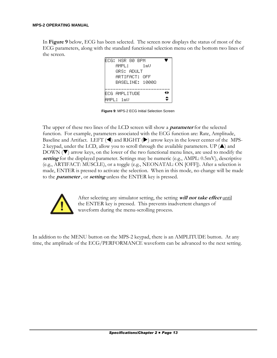In **Figure 9** below, ECG has been selected. The screen now displays the status of most of the ECG parameters, along with the standard functional selection menu on the bottom two lines of the screen.

| FCG: NSR 80 BPM     |
|---------------------|
| 1 mU<br>AMPL:       |
| ΘRS: AΠH T          |
| ARTIFACT: NFF       |
| RASELINE: 10000     |
|                     |
| 41<br>FCG AMPLITUDE |
| $\div$<br>AMPL: 1mU |

**Figure 9**: MPS-2 ECG Initial Selection Screen

The upper of these two lines of the LCD screen will show a **parameter** for the selected function. For example, parameters associated with the ECG function are: Rate, Amplitude, Baseline and Artifact. LEFT (◀) and RIGHT (▶) arrow keys in the lower center of the MPS-2 keypad, under the LCD, allow you to scroll through the available parameters. UP  $(\triangle)$  and DOWN  $(\nabla)$  arrow keys, on the lower of the two functional menu lines, are used to modify the **setting** for the displayed parameter. Settings may be numeric (e.g., AMPL: 0.5mV), descriptive (e.g., ARTIFACT: MUSCLE), or a toggle (e.g., NEONATAL: ON [OFF]). After a selection is made, ENTER is pressed to activate the selection. When in this mode, no change will be made to the **parameter** , or **setting** unless the ENTER key is pressed.



After selecting any simulator setting, the setting **will not take effect** until the ENTER key is pressed. This prevents inadvertent changes of waveform during the menu-scrolling process.

In addition to the MENU button on the MPS-2 keypad, there is an AMPLITUDE button. At any time, the amplitude of the ECG/PERFORMANCE waveform can be advanced to the next setting.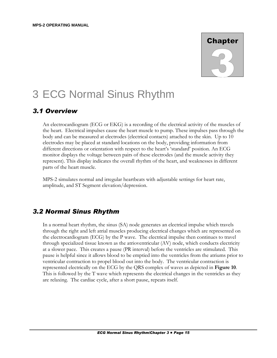## **Chapter**

## 3 ECG Normal Sinus Rhythm

#### *3.1 Overview*

An electrocardiogram (ECG or EKG) is a recording of the electrical activity of the muscles of the heart. Electrical impulses cause the heart muscle to pump. These impulses pass through the body and can be measured at electrodes (electrical contacts) attached to the skin. Up to 10 electrodes may be placed at standard locations on the body, providing information from different directions or orientation with respect to the heart's 'standard' position. An ECG monitor displays the voltage between pairs of these electrodes (and the muscle activity they represent). This display indicates the overall rhythm of the heart, and weaknesses in different parts of the heart muscle.

MPS-2 simulates normal and irregular heartbeats with adjustable settings for heart rate, amplitude, and ST Segment elevation/depression.

## *3.2 Normal Sinus Rhythm*

In a normal heart rhythm, the sinus (SA) node generates an electrical impulse which travels through the right and left atrial muscles producing electrical changes which are represented on the electrocardiogram (ECG) by the P wave. The electrical impulse then continues to travel through specialized tissue known as the atrioventricular (AV) node, which conducts electricity at a slower pace. This creates a pause (PR interval) before the ventricles are stimulated. This pause is helpful since it allows blood to be emptied into the ventricles from the atriums prior to ventricular contraction to propel blood out into the body. The ventricular contraction is represented electrically on the ECG by the QRS complex of waves as depicted in **Figure 10**. This is followed by the T wave which represents the electrical changes in the ventricles as they are relaxing. The cardiac cycle, after a short pause, repeats itself.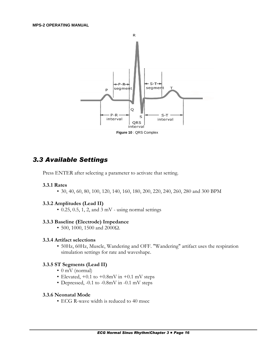

## *3.3 Available Settings*

Press ENTER after selecting a parameter to activate that setting.

#### **3.3.1 Rates**

• 30, 40, 60, 80, 100, 120, 140, 160, 180, 200, 220, 240, 260, 280 and 300 BPM

#### **3.3.2 Amplitudes (Lead II)**

 $\cdot$  0.25, 0.5, 1, 2, and 3 mV - using normal settings

#### **3.3.3 Baseline (Electrode) Impedance**

• 500, 1000, 1500 and 2000Ω.

#### **3.3.4 Artifact selections**

• 50Hz, 60Hz, Muscle, Wandering and OFF. "Wandering" artifact uses the respiration simulation settings for rate and waveshape.

#### **3.3.5 ST Segments (Lead II)**

- 0 mV (normal)
- Elevated,  $+0.1$  to  $+0.8$ mV in  $+0.1$  mV steps
- Depressed, -0.1 to -0.8mV in -0.1 mV steps

#### **3.3.6 Neonatal Mode**

• ECG R-wave width is reduced to 40 msec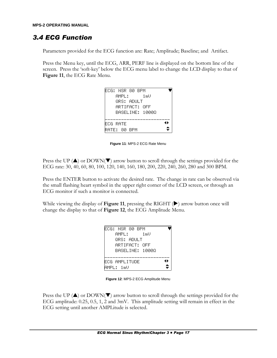## *3.4 ECG Function*

Parameters provided for the ECG function are: Rate; Amplitude; Baseline; and Artifact.

Press the Menu key, until the ECG, ARR, PERF line is displayed on the bottom line of the screen. Press the 'soft-key' below the ECG menu label to change the LCD display to that of **Figure 11**, the ECG Rate Menu.

| FCG: NSR 80 BPM |
|-----------------|
| 1 mU<br>AMPL:   |
| ΘRS: AΠH T      |
| ARTIFACT: OFF   |
| BASELINE: 10000 |
|                 |
| 48<br>FCG RATE  |
| RATE: 80 BPM    |

**Figure 11**: MPS-2 ECG Rate Menu

Press the UP  $(\triangle)$  or DOWN( $\nabla$ ) arrow button to scroll through the settings provided for the ECG rate: 30, 40, 60, 80, 100, 120, 140, 160, 180, 200, 220, 240, 260, 280 and 300 BPM.

Press the ENTER button to activate the desired rate. The change in rate can be observed via the small flashing heart symbol in the upper right corner of the LCD screen, or through an ECG monitor if such a monitor is connected.

While viewing the display of Figure 11, pressing the RIGHT  $(\blacktriangleright)$  arrow button once will change the display to that of **Figure 12**, the ECG Amplitude Menu.

| ECG: NSR 80 BPM     |
|---------------------|
| 1 mU<br>AMPL:       |
| ΘRS: AΠΗ Τ          |
| ARTIFACT: OFF       |
| RASELINE: 10000     |
|                     |
| 41<br>FCG AMPLITUDE |
| AMPL: 1mU           |

**Figure 12**: MPS-2 ECG Amplitude Menu

Press the UP  $(\triangle)$  or DOWN( $\nabla$ ) arrow button to scroll through the settings provided for the ECG amplitude: 0.25, 0.5, 1, 2 and 3mV. This amplitude setting will remain in effect in the ECG setting until another AMPLitude is selected.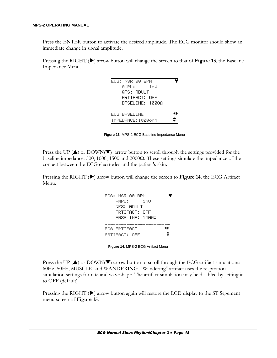Press the ENTER button to activate the desired amplitude. The ECG monitor should show an immediate change in signal amplitude.

Pressing the RIGHT ( $\blacktriangleright$ ) arrow button will change the screen to that of Figure 13, the Baseline Impedance Menu.

| FCG: NSR 80 BPM   |     |
|-------------------|-----|
| 1 mU<br>AMPL:     |     |
| ΘRS: AΠH T        |     |
| ARTIFACT: NFF     |     |
| RASELINE: 10000   |     |
|                   |     |
| FCG BASELINE      | 41. |
| TMPFDANCF:1000obm |     |

**Figure 13**: MPS-2 ECG Baseline Impedance Menu

Press the UP ( $\triangle$ ) or DOWN( $\nabla$ ) arrow button to scroll through the settings provided for the baseline impedance: 500, 1000, 1500 and 2000Ω. These settings simulate the impedance of the contact between the ECG electrodes and the patient's skin.

Pressing the RIGHT ( $\blacktriangleright$ ) arrow button will change the screen to Figure 14, the ECG Artifact Menu.

| FCG: NSR 80 BPM         |  |
|-------------------------|--|
| 1 mU<br>AMPL:           |  |
| ORS: ANULT              |  |
| ARTIFACT: NFF           |  |
| RASELINE: 10000         |  |
|                         |  |
| 41<br>FCG ARTIFACT      |  |
| $\div$<br>ARTIFACT: OFF |  |

**Figure 14**: MPS-2 ECG Artifact Menu

Press the UP  $(\triangle)$  or DOWN( $\nabla$ ) arrow button to scroll through the ECG artifact simulations: 60Hz, 50Hz, MUSCLE, and WANDERING. "Wandering" artifact uses the respiration simulation settings for rate and waveshape. The artifact simulation may be disabled by setting it to OFF (default).

Pressing the RIGHT  $(\blacktriangleright)$  arrow button again will restore the LCD display to the ST Segement menu screen of **Figure 15**.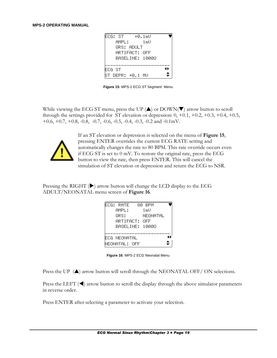| FOG: ST |                  | +0.1mU          |    |
|---------|------------------|-----------------|----|
|         | AMPL :           | 1 mU            |    |
|         | ΘRS: AΠΗ Τ       |                 |    |
|         | ARTIFACT: OFF    |                 |    |
|         |                  | RASELINE: 10000 |    |
|         |                  |                 |    |
| FCG ST  |                  |                 | 41 |
|         | ST DEPR: +0.1 MU |                 |    |

Figure 15: MPS-2 ECG ST Segment Menu

While viewing the ECG ST menu, press the UP  $(\triangle)$  or DOWN( $\nabla$ ) arrow button to scroll through the settings provided for ST elevation or depression:  $0, +0.1, +0.2, +0.3, +0.4, +0.5,$ +0.6, +0.7, +0.8, -0.8, -0.7, -0.6, -0.5, -0.4, -0.3, -0.2 and -0.1mV.



If an ST elevation or depression is selected on the menu of **Figure 15**, pressing ENTER overrides the current ECG RATE setting and automatically changes the rate to 80 BPM. This rate override occurs even if ECG ST is set to  $0 \text{ mV}$ . To restore the original rate, press the ECG button to view the rate, then press ENTER. This will cancel the simulation of ST elevation or depression and return the ECG to NSR.

Pressing the RIGHT  $(\triangleright)$  arrow button will change the LCD display to the ECG ADULT/NEONATAL menu screen of Figure 16.

| FCG: RATE       | 80 RPM   |  |
|-----------------|----------|--|
| AMPL:           | 1 mU     |  |
| QRS:            | NEONATAL |  |
| ARTIFACT: OFF   |          |  |
| RASELINE: 10000 |          |  |
|                 |          |  |
| FCG NEONATAL    |          |  |
| NEONATAL: OFF   |          |  |

Figure 16: MPS-2 ECG Neonatal Menu

Press the UP (A) arrow button will scroll through the NEONATAL OFF/ON selections.

Press the LEFT  $(\triangleleft)$  arrow button to scroll the display through the above simulator parameters in reverse order.

Press ENTER after selecting a parameter to activate your selection.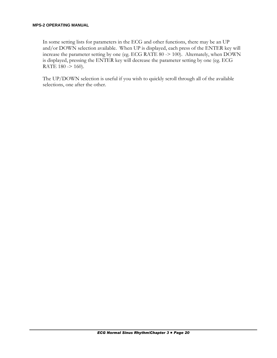In some setting lists for parameters in the ECG and other functions, there may be an UP and/or DOWN selection available. When UP is displayed, each press of the ENTER key will increase the parameter setting by one (eg. ECG RATE 80 -> 100). Alternately, when DOWN is displayed, pressing the ENTER key will decrease the parameter setting by one (eg. ECG RATE 180 -> 160).

The UP/DOWN selection is useful if you wish to quickly scroll through all of the available selections, one after the other.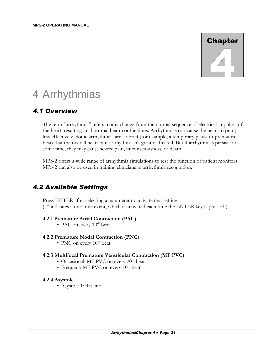# **Chapter**

## 4 Arrhythmias

## *4.1 Overview*

The term "arrhythmia" refers to any change from the normal sequence of electrical impulses of the heart, resulting in abnormal heart contractions. Arrhythmias can cause the heart to pump less effectively. Some arrhythmias are so brief (for example, a temporary pause or premature beat) that the overall heart rate or rhythm isn't greatly affected. But if arrhythmias persist for some time, they may cause severe pain, unconsciousness, or death.

MPS-2 offers a wide range of arrhythmia simulations to test the function of patient monitors. MPS-2 can also be used in training clinicians in arrhythmia recognition.

## *4.2 Available Settings*

Press ENTER after selecting a parameter to activate that setting. ( \* indicates a one-time event, which is activated each time the ENTER key is pressed )

#### **4.2.1 Premature Atrial Contraction (PAC)**

• PAC on every  $10^{th}$  beat

#### **4.2.2 Premature Nodal Contraction (PNC)**

• PNC on every  $10^{th}$  beat

#### **4.2.3 Multifocal Premature Ventricular Contraction (MF PVC)**

- Occasional: MF PVC on every  $20<sup>th</sup>$  beat
- Frequent: MF PVC on every  $10^{th}$  beat

#### **4.2.4 Asystole**

• Asystole 1: flat line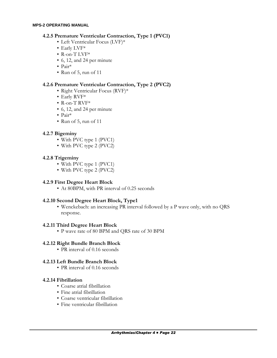#### **4.2.5 Premature Ventricular Contraction, Type 1 (PVC1)**

- Left Ventricular Focus (LVF)\*
- Early LVF\*
- R-on-T LVF\*
- 6, 12, and 24 per minute
- Pair\*
- Run of 5, run of 11

#### **4.2.6 Premature Ventricular Contraction, Type 2 (PVC2)**

- Right Ventricular Focus (RVF)\*
- Early RVF\*
- R-on-T RVF\*
- 6, 12, and 24 per minute
- Pair\*
- Run of 5, run of 11

#### **4.2.7 Bigeminy**

- With PVC type 1 (PVC1)
- With PVC type 2 (PVC2)

#### **4.2.8 Trigeminy**

- With PVC type 1 (PVC1)
- With PVC type 2 (PVC2)

#### **4.2.9 First Degree Heart Block**

• At 80BPM, with PR interval of 0.25 seconds

#### **4.2.10 Second Degree Heart Block, Type1**

• Wenckebach: an increasing PR interval followed by a P wave only, with no QRS response.

#### **4.2.11 Third Degree Heart Block**

• P wave rate of 80 BPM and QRS rate of 30 BPM

#### **4.2.12 Right Bundle Branch Block**

• PR interval of 0.16 seconds

#### **4.2.13 Left Bundle Branch Block**

• PR interval of 0.16 seconds

#### **4.2.14 Fibrillation**

- Coarse atrial fibrillation
- Fine atrial fibrillation
- Coarse ventricular fibrillation
- Fine ventricular fibrillation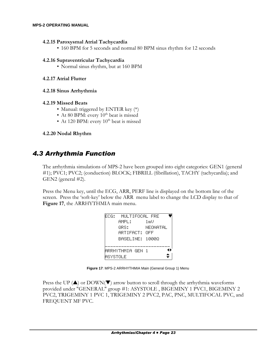#### **4.2.15 Paroxysmal Atrial Tachycardia**

• 160 BPM for 5 seconds and normal 80 BPM sinus rhythm for 12 seconds

#### **4.2.16 Supraventricular Tachycardia**

• Normal sinus rhythm, but at 160 BPM

#### **4.2.17 Atrial Flutter**

#### **4.2.18 Sinus Arrhythmia**

#### **4.2.19 Missed Beats**

- Manual: triggered by ENTER key (\*)
- At 80 BPM: every  $10^{th}$  beat is missed
- At 120 BPM: every  $10^{th}$  beat is missed

#### **4.2.20 Nodal Rhythm**

#### *4.3 Arrhythmia Function*

The arrhythmia simulations of MPS-2 have been grouped into eight categories: GEN1 (general #1); PVC1; PVC2; (conduction) BLOCK; FIBRILL (fibrillation), TACHY (tachycardia); and GEN2 (general #2).

Press the Menu key, until the ECG, ARR, PERF line is displayed on the bottom line of the screen. Press the 'soft-key' below the ARR menu label to change the LCD display to that of **Figure 17**, the ARRHYTHMIA main menu.

| FCG: I    | MULTIFOCAL FRE  |      |          |  |
|-----------|-----------------|------|----------|--|
|           | AMPL:           | 1 mU |          |  |
|           | NRS:            |      | NEONATAL |  |
|           | ARTIFACT: I     | OEE  |          |  |
|           | RASELINE: 10000 |      |          |  |
|           |                 |      |          |  |
|           | ARRHYTHMIA GFN  |      |          |  |
| ASYSTOL F |                 |      |          |  |

**Figure 17**: MPS-2 ARRHYTHMIA Main (General Group 1) Menu

Press the UP  $(\triangle)$  or DOWN( $\nabla$ ) arrow button to scroll through the arrhythmia waveforms provided under "GENERAL" group #1: ASYSTOLE , BIGEMINY 1 PVC1, BIGEMINY 2 PVC2, TRIGEMINY 1 PVC 1, TRIGEMINY 2 PVC2, PAC, PNC, MULTIFOCAL PVC, and FREQUENT MF PVC.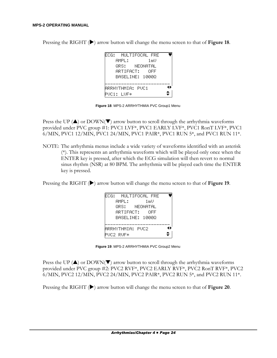| ECG: MULTIFOCAL FRE |          |      |  |
|---------------------|----------|------|--|
| AMPL:               |          | 1 mU |  |
| ORS: -              | NEONATAL |      |  |
| ARTIFACT:           |          | NEE  |  |
| RASELINE: 10000     |          |      |  |
|                     |          |      |  |
| ARRHYTHMIA: PUC1    |          |      |  |
| PUC1: LUF*          |          |      |  |

Pressing the RIGHT ( $\blacktriangleright$ ) arrow button will change the menu screen to that of Figure 18.

**Figure 18**: MPS-2 ARRHYTHMIA PVC Group1 Menu

Press the UP  $(\triangle)$  or DOWN( $\nabla$ ) arrow button to scroll through the arrhythmia waveforms provided under PVC group #1: PVC1 LVF\*, PVC1 EARLY LVF\*, PVC1 RonT LVF\*, PVC1 6/MIN, PVC1 12/MIN, PVC1 24/MIN, PVC1 PAIR\*, PVC1 RUN 5\*, and PVC1 RUN 11\*.

NOTE: The arrhythmia menus include a wide variety of waveforms identified with an asterisk (\*). This represents an arrhythmia waveform which will be played only once when the ENTER key is pressed, after which the ECG simulation will then revert to normal sinus rhythm (NSR) at 80 BPM. The arrhythmia will be played each time the ENTER key is pressed.

Pressing the RIGHT ( $\blacktriangleright$ ) arrow button will change the menu screen to that of Figure 19.

|                         | ECG: MULTIFOCAL FRE |      |
|-------------------------|---------------------|------|
|                         | AMPL:               | 1 mU |
|                         | NRS: L<br>NFONATAL  |      |
|                         | ARTIFACT: I         | NEE  |
|                         | RASELINE: 10000     |      |
|                         |                     |      |
| 4 k<br>ARRHYTHMIA: PUC2 |                     |      |
|                         | PUC2 RUF*           |      |

**Figure 19**: MPS-2 ARRHYTHMIA PVC Group2 Menu

Press the UP  $(\triangle)$  or DOWN( $\nabla$ ) arrow button to scroll through the arrhythmia waveforms provided under PVC group #2: PVC2 RVF\*, PVC2 EARLY RVF\*, PVC2 RonT RVF\*, PVC2 6/MIN, PVC2 12/MIN, PVC2 24/MIN, PVC2 PAIR\*, PVC2 RUN 5\*, and PVC2 RUN 11\*.

Pressing the RIGHT ( $\blacktriangleright$ ) arrow button will change the menu screen to that of Figure 20.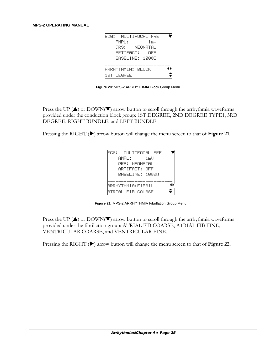

**Figure 20**: MPS-2 ARRHYTHMIA Block Group Menu

Press the UP ( $\triangle$ ) or DOWN( $\nabla$ ) arrow button to scroll through the arrhythmia waveforms provided under the conduction block group: 1ST DEGREE, 2ND DEGREE TYPE1, 3RD DEGREE, RIGHT BUNDLE, and LEFT BUNDLE.

Pressing the RIGHT ( $\blacktriangleright$ ) arrow button will change the menu screen to that of Figure 21.

|  | ARTIFACT: NFF   | QRS: NEONATAL |  |
|--|-----------------|---------------|--|
|  | BASELINE: 10000 |               |  |

**Figure 21**: MPS-2 ARRHYTHMIA Fibrillation Group Menu

Press the UP  $(\triangle)$  or DOWN( $\nabla$ ) arrow button to scroll through the arrhythmia waveforms provided under the fibrillation group: ATRIAL FIB COARSE, ATRIAL FIB FINE, VENTRICULAR COARSE, and VENTRICULAR FINE.

Pressing the RIGHT ( $\blacktriangleright$ ) arrow button will change the menu screen to that of Figure 22.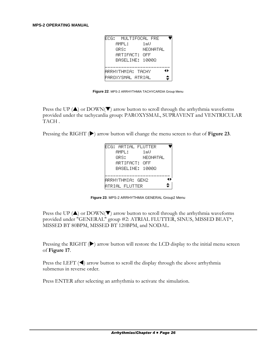| FCG: MULTIFOCAL FRE |          |
|---------------------|----------|
| AMPL:               | 1 mU     |
| NRS:                | NEONATAL |
| ARTIFACT:           | NEE      |
| BASELINE: 10000     |          |
|                     |          |
| ARRHYTHMIA: TACHY   | 41       |
| PAROXYSMAL ATRIAL   |          |

**Figure 22**: MPS-2 ARRHYTHMIA TACHYCARDIA Group Menu

Press the UP ( $\triangle$ ) or DOWN( $\nabla$ ) arrow button to scroll through the arrhythmia waveforms provided under the tachycardia group: PAROXYSMAL, SUPRAVENT and VENTRICULAR TACH .

Pressing the RIGHT ( $\blacktriangleright$ ) arrow button will change the menu screen to that of Figure 23.

| FCG: ARTIAL FLUTTER                |
|------------------------------------|
| 1 mU<br>AMPL:                      |
| NRS:<br>NEONATAL                   |
| ARTIFACT:<br>OEE                   |
| RASELINE: 10000                    |
|                                    |
| $\blacksquare$<br>ARRHYTHMIA: GEN2 |
| ATRIAL FLUTTER                     |

**Figure 23**: MPS-2 ARRHYTHMIA GENERAL Group2 Menu

Press the UP ( $\triangle$ ) or DOWN( $\nabla$ ) arrow button to scroll through the arrhythmia waveforms provided under "GENERAL" group #2: ATRIAL FLUTTER, SINUS, MISSED BEAT\*, MISSED BT 80BPM, MISSED BT 120BPM, and NODAL.

Pressing the RIGHT ( $\blacktriangleright$ ) arrow button will restore the LCD display to the initial menu screen of **Figure 17**.

Press the LEFT  $(\blacktriangleleft)$  arrow button to scroll the display through the above arrhythmia submenus in reverse order.

Press ENTER after selecting an arrhythmia to activate the simulation.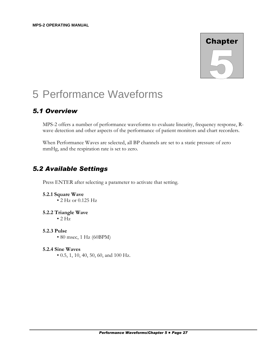# **Chapter**

# 5 Performance Waveforms

# *5.1 Overview*

MPS-2 offers a number of performance waveforms to evaluate linearity, frequency response, Rwave detection and other aspects of the performance of patient monitors and chart recorders.

When Performance Waves are selected, all BP channels are set to a static pressure of zero mmHg, and the respiration rate is set to zero.

# *5.2 Available Settings*

Press ENTER after selecting a parameter to activate that setting.

- **5.2.1 Square Wave** • 2 Hz or 0.125 Hz
- **5.2.2 Triangle Wave**  $\bullet$  2 Hz
- **5.2.3 Pulse** • 80 msec, 1 Hz (60BPM)
- **5.2.4 Sine Waves** • 0.5, 1, 10, 40, 50, 60, and 100 Hz.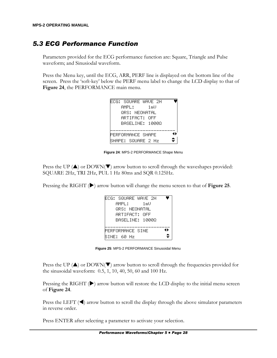# *5.3 ECG Performance Function*

Parameters provided for the ECG performance function are: Square, Triangle and Pulse waveform; and Sinusiodal waveform.

Press the Menu key, until the ECG, ARR, PERF line is displayed on the bottom line of the screen. Press the 'soft-key' below the PERF menu label to change the LCD display to that of **Figure 24**, the PERFORMANCE main menu.

| FCG: SQUARE WAVE 2H    |  |      |  |
|------------------------|--|------|--|
| AMPL:                  |  | 1 mU |  |
| <u>  QRS: NFANATAL</u> |  |      |  |
| ARTIFACT: NFF          |  |      |  |
| BASELINE: 10000        |  |      |  |
|                        |  |      |  |
| PFRFORMANCE SHAPE      |  |      |  |
| SHAPF: SQUARF 2 Hz     |  |      |  |

**Figure 24**: MPS-2 PERFORMANCE Shape Menu

Press the UP  $(\triangle)$  or DOWN( $\nabla$ ) arrow button to scroll through the waveshapes provided: SQUARE 2Hz, TRI 2Hz, PUL 1 Hz 80ms and SQR 0.125Hz.

Pressing the RIGHT ( $\blacktriangleright$ ) arrow button will change the menu screen to that of Figure 25.

| FCG: SQUARE WAVE 2H     |
|-------------------------|
| 1 mU<br>AMPL:           |
| QRS: NEONATAL           |
| ARTIFACT: NFF           |
| BASELINE: 10000         |
|                         |
| 41.<br>PERFORMANCE SINE |
| SINE: 60 Hz             |

**Figure 25**: MPS-2 PERFORMANCE Sinusoidal Menu

Press the UP  $(\triangle)$  or DOWN( $\nabla$ ) arrow button to scroll through the frequencies provided for the sinusoidal waveform: 0.5, 1, 10, 40, 50, 60 and 100 Hz.

Pressing the RIGHT  $(\blacktriangleright)$  arrow button will restore the LCD display to the initial menu screen of **Figure 24**.

Press the LEFT  $(\triangleleft)$  arrow button to scroll the display through the above simulator parameters in reverse order.

Press ENTER after selecting a parameter to activate your selection.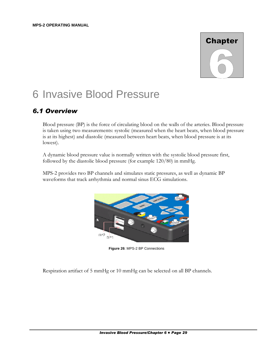# **Chapter**

# 6 Invasive Blood Pressure

# *6.1 Overview*

Blood pressure (BP) is the force of circulating blood on the walls of the arteries. Blood pressure is taken using two measurements: systolic (measured when the heart beats, when blood pressure is at its highest) and diastolic (measured between heart beats, when blood pressure is at its lowest).

A dynamic blood pressure value is normally written with the systolic blood pressure first, followed by the diastolic blood pressure (for example 120/80) in mmHg.

MPS-2 provides two BP channels and simulates static pressures, as well as dynamic BP waveforms that track arrhythmia and normal sinus ECG simulations.



**Figure 26**: MPS-2 BP Connections

Respiration artifact of 5 mmHg or 10 mmHg can be selected on all BP channels.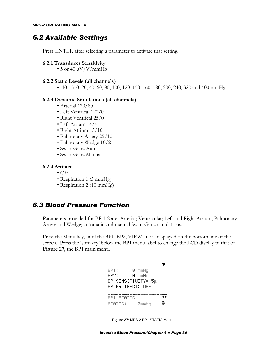### *6.2 Available Settings*

Press ENTER after selecting a parameter to activate that setting.

**6.2.1 Transducer Sensitivity**

• 5 or 40  $\mu$ V/V/mmHg

#### **6.2.2 Static Levels (all channels)**

•  $-10$ ,  $-5$ , 0, 20, 40, 60, 80, 100, 120, 150, 160, 180, 200, 240, 320 and 400 mmHg

#### **6.2.3 Dynamic Simulations (all channels)**

- Arterial 120/80
- Left Ventrical 120/0
- Right Ventrical 25/0
- Left Atrium 14/4
- Right Atrium 15/10
- Pulmonary Artery 25/10
- Pulmonary Wedge 10/2
- Swan-Ganz Auto
- Swan-Ganz Manual

#### **6.2.4 Artifact**

- $\bullet$  Off
- Respiration 1 (5 mmHg)
- Respiration 2 (10 mmHg)

# *6.3 Blood Pressure Function*

Parameters provided for BP 1-2 are: Arterial; Ventricular; Left and Right Atrium; Pulmonary Artery and Wedge; automatic and manual Swan-Ganz simulations.

Press the Menu key, until the BP1, BP2, VIEW line is displayed on the bottom line of the screen. Press the 'soft-key' below the BP1 menu label to change the LCD display to that of **Figure 27**, the BP1 main menu.

| BP1:             |  |  | 0 mmHg |                     |    |
|------------------|--|--|--------|---------------------|----|
| <b>BP2:</b>      |  |  | 0 mmHq |                     |    |
|                  |  |  |        | BP SENSITIVITY= 5µV |    |
| BP ARTIFACT: OFF |  |  |        |                     |    |
|                  |  |  |        |                     |    |
| BP1 STATIC       |  |  |        |                     | 41 |
| STATIC:          |  |  | 0mmHa  |                     |    |

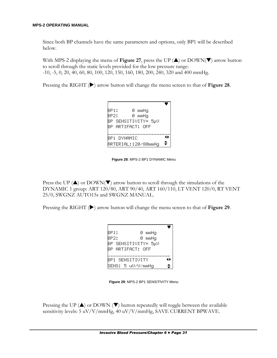Since both BP channels have the same parameters and options, only BP1 will be described below.

With MPS-2 displaying the menu of **Figure 27**, press the UP  $(A)$  or DOWN( $\nabla$ ) arrow button to scroll through the static levels provided for the low pressure range: -10, -5, 0, 20, 40, 60, 80, 100, 120, 150, 160, 180, 200, 240, 320 and 400 mmHg.

Pressing the RIGHT ( $\blacktriangleright$ ) arrow button will change the menu screen to that of Figure 28.

| BP1: | 0 mmHg              |     |
|------|---------------------|-----|
| RP2: | 0 mmHq              |     |
|      | BP SENSITIVITY= 5µV |     |
|      | RP ARTIFACT: OFF    |     |
|      |                     |     |
|      | RP1 OYNAMIC         | -11 |
|      | ARTERIAL:120/80mmHq |     |

**Figure 28**: MPS-2 BP1 DYNAMIC Menu

Press the UP ( $\triangle$ ) or DOWN( $\nabla$ ) arrow button to scroll through the simulations of the DYNAMIC 1 group: ART 120/80, ART 90/40, ART 160/110, LT VENT 120/0, RT VENT 25/0, SWGNZ AUTO15s and SWGNZ MANUAL.

Pressing the RIGHT ( $\blacktriangleright$ ) arrow button will change the menu screen to that of Figure 29.

| RP1:                | 0 mmHq |
|---------------------|--------|
| RP2:                | 0 mmHq |
| BP SENSITIVITY= 5µV |        |
| RP ARTIFACT: OFF    |        |
|                     |        |
| BP1 SENSITIUITY     | 41     |
| SENS: 5 uV/V/mmHa   |        |

**Figure 29**: MPS-2 BP1 SENSITIVITY Menu

Pressing the UP  $(\triangle)$  or DOWN  $(\blacktriangledown)$  button repeatedly will toggle between the available sensitivity levels: 5 uV/V/mmHg, 40 uV/V/mmHg, SAVE CURRENT BPWAVE.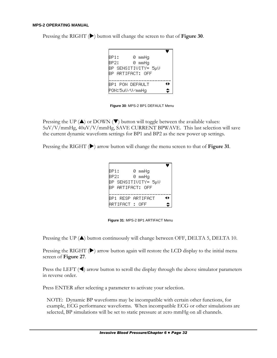| BP1: |  |                     |  |
|------|--|---------------------|--|
|      |  | 0 mmHq              |  |
| BP2: |  | 0 mmHq              |  |
|      |  | BP SENSITIVITY= 5μV |  |
|      |  | BP ARTIFACT: OFF    |  |

Pressing the RIGHT ( $\blacktriangleright$ ) button will change the screen to that of Figure 30.

**Figure 30**: MPS-2 BP1 DEFAULT Menu

Pressing the UP  $(\triangle)$  or DOWN  $(\triangledown)$  button will toggle between the available values: 5uV/V/mmHg, 40uV/V/mmHg, SAVE CURRENT BPWAVE. This last selection will save the current dynamic waveform settings for BP1 and BP2 as the new power up settings.

Pressing the RIGHT ( $\blacktriangleright$ ) arrow button will change the menu screen to that of Figure 31.

| BP1:<br>0 mmHq      |     |
|---------------------|-----|
| 0 mmHq<br>BP2:      |     |
| BP SENSITIVITY= 5μV |     |
| RP ARTIFACT: OFF    |     |
|                     |     |
| BP1 RESP ARTIFACT   | 4 H |
| ARTIFACT : OFF      |     |

**Figure 31**: MPS-2 BP1 ARTIFACT Menu

Pressing the UP  $(\triangle)$  button continuously will change between OFF, DELTA 5, DELTA 10.

Pressing the RIGHT  $(\blacktriangleright)$  arrow button again will restore the LCD display to the initial menu screen of **Figure 27**.

Press the LEFT  $(\triangleleft)$  arrow button to scroll the display through the above simulator parameters in reverse order.

Press ENTER after selecting a parameter to activate your selection.

NOTE: Dynamic BP waveforms may be incompatible with certain other functions, for example, ECG performance waveforms. When incompatible ECG or other simulations are selected, BP simulations will be set to static pressure at zero mmHg on all channels.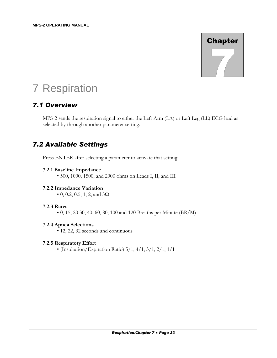# **Chapter**

# 7 Respiration

# *7.1 Overview*

MPS-2 sends the respiration signal to either the Left Arm (LA) or Left Leg (LL) ECG lead as selected by through another parameter setting.

# *7.2 Available Settings*

Press ENTER after selecting a parameter to activate that setting.

#### **7.2.1 Baseline Impedance**

• 500, 1000, 1500, and 2000 ohms on Leads I, II, and III

#### **7.2.2 Impedance Variation**

• 0, 0.2, 0.5, 1, 2, and  $3\Omega$ 

#### **7.2.3 Rates**

• 0, 15, 20 30, 40, 60, 80, 100 and 120 Breaths per Minute  $(BR/M)$ 

#### **7.2.4 Apnea Selections**

• 12, 22, 32 seconds and continuous

#### **7.2.5 Respiratory Effort**

• (Inspiration/Expiration Ratio)  $5/1$ ,  $4/1$ ,  $3/1$ ,  $2/1$ ,  $1/1$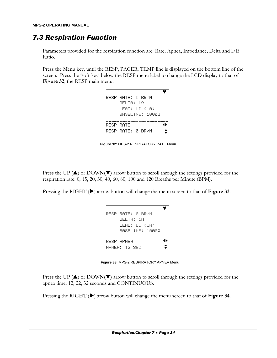# *7.3 Respiration Function*

Parameters provided for the respiration function are: Rate, Apnea, Impedance, Delta and I/E Ratio.

Press the Menu key, until the RESP, PACER, TEMP line is displayed on the bottom line of the screen. Press the 'soft-key' below the RESP menu label to change the LCD display to that of **Figure 32**, the RESP main menu.

| RESP RATE: 0 BR/M |
|-------------------|
| DELTA: 10         |
| LEAD: LI (LA)     |
| BASELINE: 10000   |
| 4 H<br>RESP RATE  |
| RESP RATE: 0 BR/M |

**Figure 32**: MPS-2 RESPIRATORY RATE Menu

Press the UP  $(\triangle)$  or DOWN( $\nabla$ ) arrow button to scroll through the settings provided for the respiration rate: 0, 15, 20, 30, 40, 60, 80, 100 and 120 Breaths per Minute (BPM).

Pressing the RIGHT ( $\blacktriangleright$ ) arrow button will change the menu screen to that of Figure 33.

| RESP RATE: 0 BR/M |     |
|-------------------|-----|
| DEL TA: 10        |     |
| LEAN: LI (LA)     |     |
| RASELINE: 10000   |     |
|                   |     |
| RFSP APNFA        | 41. |

**Figure 33**: MPS-2 RESPIRATORY APNEA Menu

Press the UP  $(\triangle)$  or DOWN( $\nabla$ ) arrow button to scroll through the settings provided for the apnea time: 12, 22, 32 seconds and CONTINUOUS.

Pressing the RIGHT ( $\blacktriangleright$ ) arrow button will change the menu screen to that of Figure 34.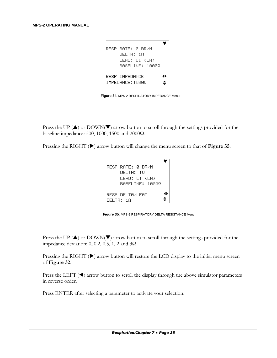| RESP RATE: 0 BR/M       |     |
|-------------------------|-----|
|                         |     |
| DEL TA: 10              |     |
| LEAD: LI (LA)           |     |
| RASELINE: 10000         |     |
|                         |     |
| RFSP IMPFNANCF          | 4 H |
| <b>IMPEDANCE: 10000</b> |     |

**Figure 34**: MPS-2 RESPIRATORY IMPEDANCE Menu

Press the UP  $(\triangle)$  or DOWN( $\nabla$ ) arrow button to scroll through the settings provided for the baseline impedance: 500, 1000, 1500 and 2000Ω.

Pressing the RIGHT ( $\blacktriangleright$ ) arrow button will change the menu screen to that of Figure 35.

| RESP RATE: 0 BR/M |    |
|-------------------|----|
| DEL TA: 10        |    |
| LFAN: LI (LA)     |    |
| RASELINE: 10000   |    |
|                   |    |
| RESP DELTAZLEAD   | 41 |
| NFL TA: 10        |    |

**Figure 35**: MPS-2 RESPIRATORY DELTA RESISTANCE Menu

Press the UP  $(\triangle)$  or DOWN( $\nabla$ ) arrow button to scroll through the settings provided for the impedance deviation: 0, 0.2, 0.5, 1, 2 and 3Ω.

Pressing the RIGHT ( $\blacktriangleright$ ) arrow button will restore the LCD display to the initial menu screen of **Figure 32**.

Press the LEFT  $(\blacktriangleleft)$  arrow button to scroll the display through the above simulator parameters in reverse order.

Press ENTER after selecting a parameter to activate your selection.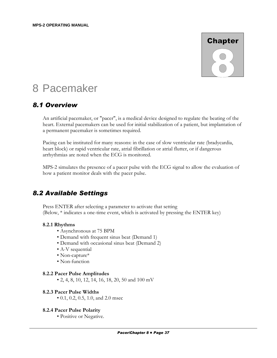# **Chapter**

# 8 Pacemaker

## *8.1 Overview*

An artificial pacemaker, or "pacer", is a medical device designed to regulate the beating of the heart. External pacemakers can be used for initial stabilization of a patient, but implantation of a permanent pacemaker is sometimes required.

Pacing can be instituted for many reasons: in the case of slow ventricular rate (bradycardia, heart block) or rapid ventricular rate, atrial fibrillation or atrial flutter, or if dangerous arrhythmias are noted when the ECG is monitored.

MPS-2 simulates the presence of a pacer pulse with the ECG signal to allow the evaluation of how a patient monitor deals with the pacer pulse.

# *8.2 Available Settings*

Press ENTER after selecting a parameter to activate that setting (Below, \* indicates a one-time event, which is activated by pressing the ENTER key)

#### **8.2.1 Rhythms**

- Asynchronous at 75 BPM
- Demand with frequent sinus beat (Demand 1)
- Demand with occasional sinus beat (Demand 2)
- A-V sequential
- Non-capture\*
- Non-function

#### **8.2.2 Pacer Pulse Amplitudes**

• 2, 4, 8, 10, 12, 14, 16, 18, 20, 50 and 100 mV

#### **8.2.3 Pacer Pulse Widths**

• 0.1, 0.2, 0.5, 1.0, and 2.0 msec

#### **8.2.4 Pacer Pulse Polarity**

• Positive or Negative.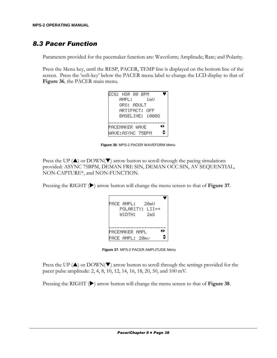# *8.3 Pacer Function*

Parameters provided for the pacemaker function are: Waveform; Amplitude; Rate; and Polarity.

Press the Menu key, until the RESP, PACER, TEMP line is displayed on the bottom line of the screen. Press the 'soft-key' below the PACER menu label to change the LCD display to that of **Figure 36**, the PACER main menu.

| <b>FCG: NSR 80 BPM</b> |  |      |    |
|------------------------|--|------|----|
| AMPL:                  |  | 1 mU |    |
| ΘRS: AΠH T             |  |      |    |
| ARTIFACT: NFF          |  |      |    |
| RASELINE: 10000        |  |      |    |
|                        |  |      |    |
| PACEMAKER WAUF         |  |      | 41 |
| WAVE:ASYNC 75BPM       |  |      |    |

**Figure 36**: MPS-2 PACER WAVEFORM Menu

Press the UP ( $\blacktriangle$ ) or DOWN( $\nabla$ ) arrow button to scroll through the pacing simulations provided: ASYNC 75BPM, DEMAN FRE SIN, DEMAN OCC SIN, AV SEQUENTIAL, NON-CAPTURE\*, and NON-FUNCTION.

Pressing the RIGHT ( $\blacktriangleright$ ) arrow button will change the menu screen to that of Figure 37.

| PACE AMPL:   20mU<br>POLARITY: LII=+<br>– 2mS<br>MIDTH: |
|---------------------------------------------------------|
| 41<br>PACEMAKER AMPL<br>PACE AMPL: 20mv                 |

**Figure 37**: MPS-2 PACER AMPLITUDE Menu

Press the UP  $(\triangle)$  or DOWN( $\nabla$ ) arrow button to scroll through the settings provided for the pacer pulse amplitude: 2, 4, 8, 10, 12, 14, 16, 18, 20, 50, and 100 mV.

Pressing the RIGHT ( $\blacktriangleright$ ) arrow button will change the menu screen to that of Figure 38.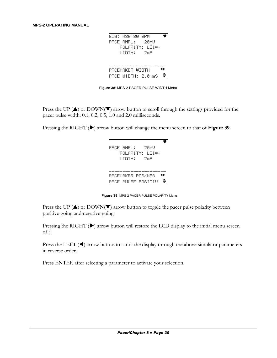| FCG: NSR 80 BPM   |                 |       |    |
|-------------------|-----------------|-------|----|
| PACE AMPL:   20mU |                 |       |    |
|                   | POLARITY: LII=+ |       |    |
|                   | MINTH:          | – 2mS |    |
|                   |                 |       |    |
|                   |                 |       |    |
|                   |                 |       |    |
| PACEMAKER WIDTH   |                 |       | 11 |

**Figure 38**: MPS-2 PACER PULSE WIDTH Menu

Press the UP  $(\triangle)$  or DOWN( $\nabla$ ) arrow button to scroll through the settings provided for the pacer pulse width: 0.1, 0.2, 0.5, 1.0 and 2.0 milliseconds.

Pressing the RIGHT ( $\blacktriangleright$ ) arrow button will change the menu screen to that of Figure 39.

| PACE AMPL:    20mU |                           |     |
|--------------------|---------------------------|-----|
|                    | POLARITY: III≡+           |     |
| WIDTH: 2mS         |                           |     |
|                    |                           |     |
|                    |                           |     |
| PACEMAKER POS/NEG  |                           | 4 H |
|                    |                           |     |
|                    | <b>PACE PULSE POSITIU</b> |     |

**Figure 39**: MPS-2 PACER PULSE POLARITY Menu

Press the UP ( $\triangle$ ) or DOWN( $\nabla$ ) arrow button to toggle the pacer pulse polarity between positive-going and negative-going.

Pressing the RIGHT ( $\blacktriangleright$ ) arrow button will restore the LCD display to the initial menu screen of ?.

Press the LEFT  $(\blacktriangleleft)$  arrow button to scroll the display through the above simulator parameters in reverse order.

Press ENTER after selecting a parameter to activate your selection.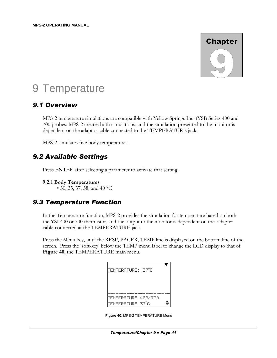

# 9 Temperature

## *9.1 Overview*

MPS-2 temperature simulations are compatible with Yellow Springs Inc. (YSI) Series 400 and 700 probes. MPS-2 creates both simulations, and the simulation presented to the monitor is dependent on the adaptor cable connected to the TEMPERATURE jack.

MPS-2 simulates five body temperatures.

## *9.2 Available Settings*

Press ENTER after selecting a parameter to activate that setting.

• 30, 35, 37, 38, and 40 °C

# *9.3 Temperature Function*

In the Temperature function, MPS-2 provides the simulation for temperature based on both the YSI 400 or 700 thermistor, and the output to the monitor is dependent on the adapter cable connected at the TEMPERATURE jack.

Press the Menu key, until the RESP, PACER, TEMP line is displayed on the bottom line of the screen. Press the 'soft-key' below the TEMP menu label to change the LCD display to that of **Figure 40**, the TEMPERATURE main menu.

| TEMPERATURE: 37ºC                     |  |
|---------------------------------------|--|
|                                       |  |
| TEMPERATURE 400/700<br>TEMPERATURE 37 |  |

**Figure 40**: MPS-2 TEMPERATURE Menu

**<sup>9.2.1</sup> Body Temperatures**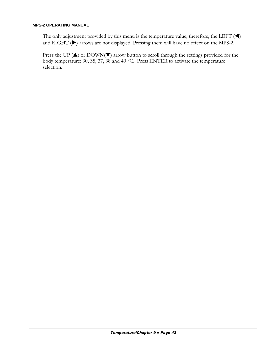The only adjustment provided by this menu is the temperature value, therefore, the LEFT  $(\blacktriangleleft)$ and RIGHT  $(\blacktriangleright)$  arrows are not displayed. Pressing them will have no effect on the MPS-2.

Press the UP  $(\triangle)$  or DOWN( $\nabla$ ) arrow button to scroll through the settings provided for the body temperature: 30, 35, 37, 38 and 40 °C. Press ENTER to activate the temperature selection.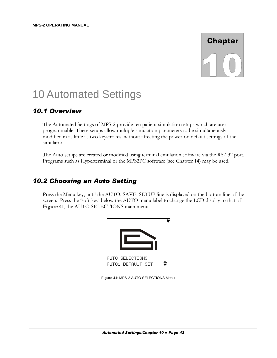# **Chapter**

# 10 Automated Settings

# *10.1 Overview*

The Automated Settings of MPS-2 provide ten patient simulation setups which are userprogrammable. These setups allow multiple simulation parameters to be simultaneously modified in as little as two keystrokes, without affecting the power-on default settings of the simulator.

The Auto setups are created or modified using terminal emulation software via the RS-232 port. Programs such as Hyperterminal or the MPS2PC software (see Chapter 14) may be used.

# *10.2 Choosing an Auto Setting*

Press the Menu key, until the AUTO, SAVE, SETUP line is displayed on the bottom line of the screen. Press the 'soft-key' below the AUTO menu label to change the LCD display to that of **Figure 41**, the AUTO SELECTIONS main menu.



**Figure 41**: MPS-2 AUTO SELECTIONS Menu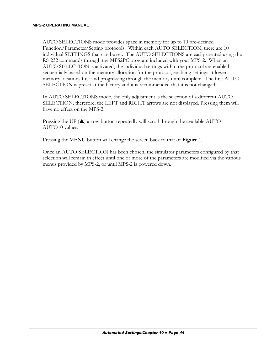AUTO SELECTIONS mode provides space in memory for up to 10 pre-defined Function/Parameter/Setting protocols. Within each AUTO SELECTION, there are 10 individual SETTINGS that can be set. The AUTO SELECTIONS are easily created using the RS-232 commands through the MPS2PC program included with your MPS-2. When an AUTO SELECTION is activated, the individual settings within the protocol are enabled sequentially based on the memory allocation for the protocol, enabling settings at lower memory locations first and progressing through the memory until complete. The first AUTO SELECTION is preset at the factory and it is recommended that it is not changed.

In AUTO SELECTIONS mode, the only adjustment is the selection of a different AUTO SELECTION, therefore, the LEFT and RIGHT arrows are not displayed. Pressing them will have no effect on the MPS-2.

Pressing the UP  $(\triangle)$  arrow button repeatedly will scroll through the available AUTO1 -AUTO10 values.

Pressing the MENU button will change the screen back to that of **Figure 1**.

Once an AUTO SELECTION has been chosen, the simulator parameters configured by that selection will remain in effect until one or more of the parameters are modified via the various menus provided by MPS-2, or until MPS-2 is powered down.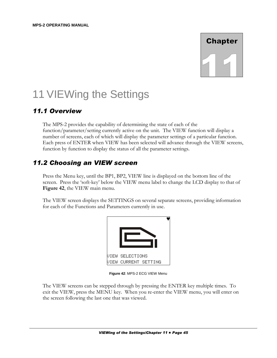# **Chapter**

# 11 VIEWing the Settings

# *11.1 Overview*

The MPS-2 provides the capability of determining the state of each of the function/parameter/setting currently active on the unit. The VIEW function will display a number of screens, each of which will display the parameter settings of a particular function. Each press of ENTER when VIEW has been selected will advance through the VIEW screens, function by function to display the status of all the parameter settings.

# *11.2 Choosing an VIEW screen*

Press the Menu key, until the BP1, BP2, VIEW line is displayed on the bottom line of the screen. Press the 'soft-key' below the VIEW menu label to change the LCD display to that of **Figure 42**, the VIEW main menu.

The VIEW screen displays the SETTINGS on several separate screens, providing information for each of the Functions and Parameters currently in use.



**Figure 42**: MPS-2 ECG VIEW Menu

The VIEW screens can be stepped through by pressing the ENTER key multiple times. To exit the VIEW, press the MENU key. When you re-enter the VIEW menu, you will enter on the screen following the last one that was viewed.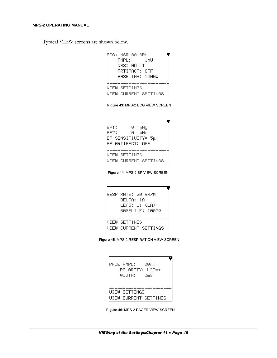Typical VIEW screens are shown below.

ECG: NSR 80 BPM AMPL: 1mV QRS: ADULT ARTIFACT: OFF BASELINE: 1000Ω \_\_\_\_\_\_\_\_\_\_\_\_\_\_\_\_\_\_\_\_\_\_\_ VIEW SETTINGS VIEW CURRENT SETTINGS

**Figure 43**: MPS-2 ECG VIEW SCREEN

|  | BP1: |      |  |  | 0 mmHq                |  |  |  |  |  |  |  |
|--|------|------|--|--|-----------------------|--|--|--|--|--|--|--|
|  |      | BP2: |  |  | 0 mmHq                |  |  |  |  |  |  |  |
|  |      |      |  |  | BP SENSITIVITY= 5µV   |  |  |  |  |  |  |  |
|  |      |      |  |  | BP ARTIFACT: OFF      |  |  |  |  |  |  |  |
|  |      |      |  |  |                       |  |  |  |  |  |  |  |
|  |      |      |  |  | VIEW SETTINGS         |  |  |  |  |  |  |  |
|  |      |      |  |  | VIEW CURRENT SETTINGS |  |  |  |  |  |  |  |

**Figure 44**: MPS-2 BP VIEW SCREEN

| RESP RATE: 20 BR/M<br>DEL TA: 10<br>LEAN: LI (LA)<br>BASELINE: 10000 |
|----------------------------------------------------------------------|
| UIEW SETTINGS<br><b>UIEW CURRENT SETTINGS</b>                        |

**Figure 45**: MPS-2 RESPIRATION VIEW SCREEN

| PACE AMPL:   20mU<br>POLARITY: LII=+<br>WINTH: 2mS |                       |
|----------------------------------------------------|-----------------------|
| UIEW SETTINGS                                      |                       |
|                                                    | VIEW CURRENT SETTINGS |

**Figure 46**: MPS-2 PACER VIEW SCREEN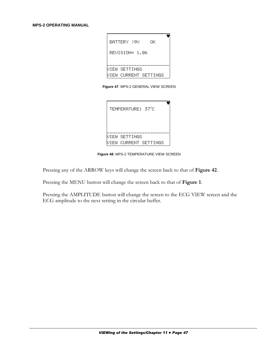| BATTERY >9U    | OΚ                    |  |
|----------------|-----------------------|--|
| REUISION= 1.06 |                       |  |
| VIEW SETTINGS  |                       |  |
|                | VIEW CURRENT SETTINGS |  |

**Figure 47**: MPS-2 GENERAL VIEW SCREEN

| TEMPERATURE: 37°C |                       |
|-------------------|-----------------------|
|                   |                       |
| VIEW SETTINGS     |                       |
|                   | VIEW CURRENT SETTINGS |

**Figure 48**: MPS-2 TEMPERATURE VIEW SCREEN

Pressing any of the ARROW keys will change the screen back to that of **Figure 42**.

Pressing the MENU button will change the screen back to that of **Figure 1**.

Pressing the AMPLITUDE button will change the screen to the ECG VIEW screen and the ECG amplitude to the next setting in the circular buffer.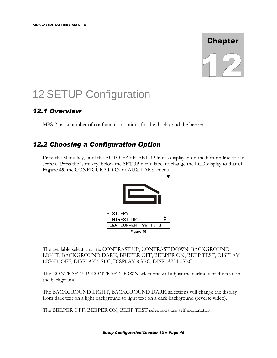

# 12 SETUP Configuration

# *12.1 Overview*

MPS-2 has a number of configuration options for the display and the beeper.

# *12.2 Choosing a Configuration Option*

Press the Menu key, until the AUTO, SAVE, SETUP line is displayed on the bottom line of the screen. Press the 'soft-key' below the SETUP menu label to change the LCD display to that of **Figure 49**, the CONFIGURATION or AUXILARY menu.



The available selections are: CONTRAST UP, CONTRAST DOWN, BACKGROUND LIGHT, BACKGROUND DARK, BEEPER OFF, BEEPER ON, BEEP TEST, DISPLAY LIGHT OFF, DISPLAY 5 SEC, DISPLAY 8 SEC, DISPLAY 10 SEC.

The CONTRAST UP, CONTRAST DOWN selections will adjust the darkness of the text on the background.

The BACKGROUND LIGHT, BACKGROUND DARK selections will change the display from dark text on a light background to light text on a dark background (reverse video).

The BEEPER OFF, BEEPER ON, BEEP TEST selections are self explanatory.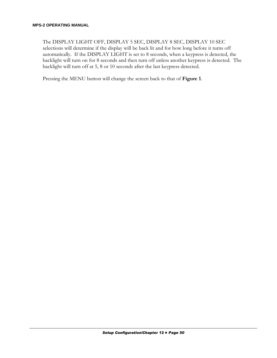The DISPLAY LIGHT OFF, DISPLAY 5 SEC, DISPLAY 8 SEC, DISPLAY 10 SEC selections will determine if the display will be back lit and for how long before it turns off automatically. If the DISPLAY LIGHT is set to 8 seconds, when a keypress is detected, the backlight will turn on for 8 seconds and then turn off unless another keypress is detected. The backlight will turn off at 5, 8 or 10 seconds after the last keypress detected.

Pressing the MENU button will change the screen back to that of **Figure 1**.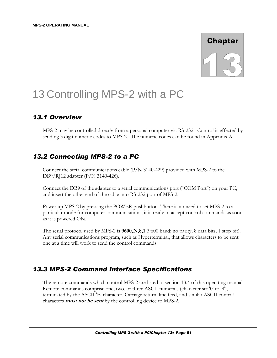

# 13 Controlling MPS-2 with a PC

# *13.1 Overview*

MPS-2 may be controlled directly from a personal computer via RS-232. Control is effected by sending 3 digit numeric codes to MPS-2. The numeric codes can be found in Appendix A.

# *13.2 Connecting MPS-2 to a PC*

Connect the serial communications cable  $(P/N 3140-429)$  provided with MPS-2 to the DB9/RJ12 adapter (P/N 3140-426).

Connect the DB9 of the adapter to a serial communications port ("COM Port") on your PC, and insert the other end of the cable into RS-232 port of MPS-2.

Power up MPS-2 by pressing the POWER pushbutton. There is no need to set MPS-2 to a particular mode for computer communications, it is ready to accept control commands as soon as it is powered ON.

The serial protocol used by MPS-2 is **9600,N,8,1** (9600 baud; no parity; 8 data bits; 1 stop bit). Any serial communications program, such as Hyperterminal, that allows characters to be sent one at a time will work to send the control commands.

# *13.3 MPS-2 Command Interface Specifications*

The remote commands which control MPS-2 are listed in section 13.4 of this operating manual. Remote commands comprise one, two, or three ASCII numerals (character set '0' to '9'), terminated by the ASCII 'E' character. Carriage return, line feed, and similar ASCII control characters **must not be sent** by the controlling device to MPS-2.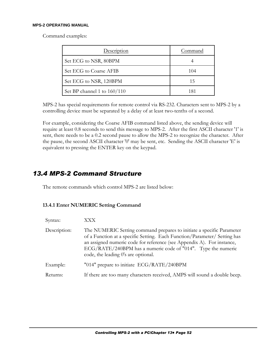Command examples:

| Description                 | Command |
|-----------------------------|---------|
| Set ECG to NSR, 80BPM       |         |
| Set ECG to Coarse AFIB      | 104     |
| Set ECG to NSR, 120BPM      | 15      |
| Set BP channel 1 to 160/110 | 181     |

MPS-2 has special requirements for remote control via RS-232. Characters sent to MPS-2 by a controlling device must be separated by a delay of at least two-tenths of a second.

For example, considering the Coarse AFIB command listed above, the sending device will require at least 0.8 seconds to send this message to MPS-2. After the first ASCII character '1' is sent, there needs to be a 0.2 second pause to allow the MPS-2 to recognize the character. After the pause, the second ASCII character '0' may be sent, etc. Sending the ASCII character 'E' is equivalent to pressing the ENTER key on the keypad.

### *13.4 MPS-2 Command Structure*

The remote commands which control MPS-2 are listed below:

#### **13.4.1 Enter NUMERIC Setting Command**

| Syntax:      | XXX                                                                                                                                                                                                                                                                                                                                  |
|--------------|--------------------------------------------------------------------------------------------------------------------------------------------------------------------------------------------------------------------------------------------------------------------------------------------------------------------------------------|
| Description: | The NUMERIC Setting command prepares to initiate a specific Parameter<br>of a Function at a specific Setting. Each Function/Parameter/ Setting has<br>an assigned numeric code for reference (see Appendix A). For instance,<br>ECG/RATE/240BPM has a numeric code of "014". Type the numeric<br>code, the leading 0's are optional. |
| Example:     | "014" prepare to initiate ECG/RATE/240BPM                                                                                                                                                                                                                                                                                            |
| Returns:     | If there are too many characters received, AMPS will sound a double beep.                                                                                                                                                                                                                                                            |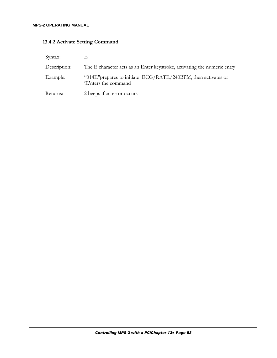### **13.4.2 Activate Setting Command**

| Syntax:      |                                                                                           |
|--------------|-------------------------------------------------------------------------------------------|
| Description: | The E character acts as an Enter keystroke, activating the numeric entry                  |
| Example:     | "014E" prepares to initiate $ECG/RATE/240BPM$ , then activates or<br>'E'nters the command |
| Returns:     | 2 beeps if an error occurs                                                                |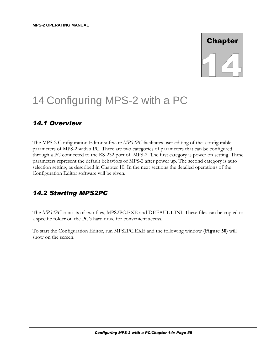

# 14 Configuring MPS-2 with a PC

## *14.1 Overview*

The MPS-2 Configuration Editor software *MPS2PC* facilitates user editing of the configurable parameters of MPS-2 with a PC. There are two categories of parameters that can be configured through a PC connected to the RS-232 port of MPS-2. The first category is power on setting. These parameters represent the default behaviors of MPS-2 after power up. The second category is auto selection setting, as described in Chapter 10. In the next sections the detailed operations of the Configuration Editor software will be given.

# *14.2 Starting MPS2PC*

The *MPS2PC* consists of two files, MPS2PC.EXE and DEFAULT.INI. These files can be copied to a specific folder on the PC's hard drive for convenient access.

To start the Configuration Editor, run MPS2PC.EXE and the following window (**Figure 50**) will show on the screen.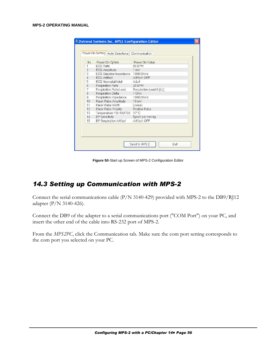| No.<br>1       | Power On Option          |                          |  |
|----------------|--------------------------|--------------------------|--|
|                | <b>ECG Rate</b>          | 80 BPM                   |  |
| $\overline{c}$ | <b>ECG Amplitude</b>     | $1 \text{ mV}$           |  |
| 3              | ECG Baseline Impedance   | 1000 Ohms                |  |
| $\overline{4}$ | <b>ECG Artifact</b>      | Artifact: OFF            |  |
| 5              | ECG Neonatal/Adult       | Adult                    |  |
| $6\phantom{.}$ | Respiration Rate         | 20 BPM                   |  |
| $\overline{7}$ | Respiration Rate/Lead    | Respiration Lead II (LL) |  |
| 8              | <b>Respiration Delta</b> | 1 Ohm                    |  |
| 9              | Respiration Impedance    | 1000 Ohms                |  |
| 10             | Pacer Pulse Amplitude    | $10 \text{ mV}$          |  |
| 11             | Pacer Pulse Width        | 2 msec                   |  |
| 12             | Pacer Pulse Polarity     | Positive Pulse           |  |
| 13             | Temperature YSI 400/700  | $37^{\circ}$ C           |  |
| 14             | <b>BP</b> Sensitivity    | 5µV/V per mmHq           |  |
| 15             | BP Respiration Artifact  | Artifact: OFF            |  |

**Figure 50**-Start up Screen of MPS-2 Configuration Editor

### *14.3 Setting up Communication with MPS-2*

Connect the serial communications cable (P/N 3140-429) provided with MPS-2 to the DB9/RJ12 adapter (P/N 3140-426).

Connect the DB9 of the adapter to a serial communications port ("COM Port") on your PC, and insert the other end of the cable into RS-232 port of MPS-2.

From the *MPS2PC*, click the Communication tab. Make sure the com port setting corresponds to the com port you selected on your PC.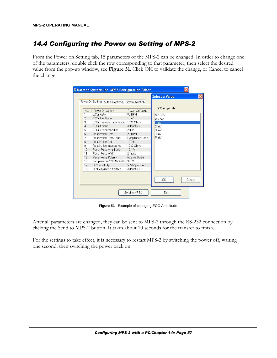# *14.4 Configuring the Power on Setting of MPS-2*

From the Power on Setting tab, 15 parameters of the MPS-2 can be changed. In order to change one of the parameters, double click the row corresponding to that parameter, then select the desired value from the pop-up window, see **Figure 51**. Click OK to validate the change, or Cancel to cancel the change.

|                | Power On Setting   Auto Selections | Communication         |                      |
|----------------|------------------------------------|-----------------------|----------------------|
|                |                                    |                       |                      |
| No.            | Power On Option                    | Power On Value        | <b>ECG Amplitude</b> |
|                | FCG Rate                           | 80 BPM                | $0.25 \text{ mV}$    |
| $\overline{c}$ | <b>ECG Amplitude</b>               | 1 <sub>m</sub>        | 0.5 <sub>m</sub>     |
| 3              | ECG Baseline Impedance 1000 Ohms   |                       | 1 mV                 |
| $\overline{4}$ | <b>FCG Artifact</b>                | Artifact: OFF         | $2 \text{ mV}$       |
| 5              | FCG Neonatal/Adult                 | Adult                 | 3 mV                 |
| 6              | <b>Respiration Rate</b>            | 20 BPM                | 4 mV                 |
| 7              | Respiration Rate/Lead              | Respiration Lead II   | 5mV                  |
| 8              | <b>Respiration Delta</b>           | 1 Ohm                 |                      |
| 9              | Respiration Impedance              | 1000 Ohms             |                      |
| 10             | Pacer Pulse Amplitude              | $10 \text{ mV}$       |                      |
| 11             | Pacer Pulse Width                  | 2 msec                |                      |
| 12             | Pacer Pulse Polarity               | <b>Positive Pulse</b> |                      |
| 13             | Temperature YSI 400/700 37°C       |                       |                      |
| 14             | <b>BP</b> Sensitivity              | 5µV/V per mmHq        |                      |
| 15             | <b>BP Respiration Artifact</b>     | Artifact: OFF         |                      |
|                |                                    |                       |                      |
|                |                                    |                       | OK<br>Cancel         |
|                |                                    |                       |                      |

**Figure 51** - Example of changing ECG Amplitude

After all parameters are changed, they can be sent to MPS-2 through the RS-232 connection by clicking the Send to MPS-2 button. It takes about 10 seconds for the transfer to finish.

For the settings to take effect, it is necessary to restart MPS-2 by switching the power off, waiting one second, then switching the power back on.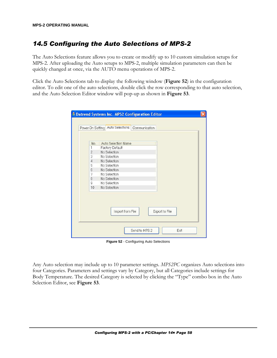# *14.5 Configuring the Auto Selections of MPS-2*

The Auto Selections feature allows you to create or modify up to 10 custom simulation setups for MPS-2. After uploading the Auto setups to MPS-2, multiple simulation parameters can then be quickly changed at once, via the AUTO menu operations of MPS-2.

Click the Auto Selections tab to display the following window (**Figure 52**) in the configuration editor. To edit one of the auto selections, double click the row corresponding to that auto selection, and the Auto Selection Editor window will pop-up as shown in **Figure 53**.

|                  | Power On Setting   Auto Selections |  |  |
|------------------|------------------------------------|--|--|
|                  | Auto Selection Name                |  |  |
| No.<br>1         | <b>Factory Default</b>             |  |  |
| $\mathbf{2}$     | No Selection                       |  |  |
| 3                | No Selection                       |  |  |
| $\overline{4}$   | No Selection                       |  |  |
| 5                | No Selection                       |  |  |
| $6\overline{6}$  | No Selection                       |  |  |
| 7                | No Selection                       |  |  |
| $\boldsymbol{8}$ | No Selection                       |  |  |
| $\overline{9}$   | No Selection                       |  |  |
| 10               | No Selection                       |  |  |
|                  |                                    |  |  |
|                  |                                    |  |  |
|                  | Export to File<br>Import from File |  |  |
|                  |                                    |  |  |
|                  |                                    |  |  |

**Figure 52** - Configuring Auto Selections

Any Auto selection may include up to 10 parameter settings. *MPS2PC* organizes Auto selections into four Categories. Parameters and settings vary by Category, but all Categories include settings for Body Temperature. The desired Category is selected by clicking the "Type" combo box in the Auto Selection Editor, see **Figure 53**.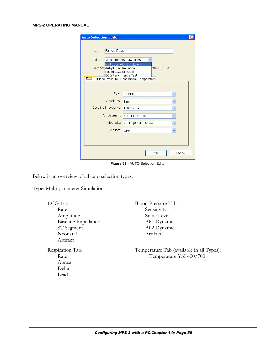| <b>Auto Selection Editor</b>                         |                                                        |
|------------------------------------------------------|--------------------------------------------------------|
|                                                      |                                                        |
| Factory Default<br>Name                              |                                                        |
| Type                                                 |                                                        |
|                                                      | Multiparameter Simulation<br>Multiparameter Simulation |
| Number Arrhythmia Simulation<br>Paced ECG Simulation | Max 10): 10                                            |
| <b>ECG Performance Test</b><br>ECG                   |                                                        |
|                                                      | Blood Pressure Respiration Temperature                 |
|                                                      |                                                        |
| Rate:                                                | 80 BPM                                                 |
| Amplitude:                                           | 1 mV                                                   |
| Baseline Impedance:                                  | 1000 Ohms                                              |
| ST Segment:                                          | NO SELECTION<br>Y                                      |
| Neonatal:                                            |                                                        |
|                                                      | Adult QRS dur. 80 ms                                   |
| Artifact:                                            | OFF<br>$\checkmark$                                    |
|                                                      |                                                        |
|                                                      |                                                        |
|                                                      | OK<br>Cancel                                           |
|                                                      |                                                        |

**Figure 53** - AUTO Selection Editor

Below is an overview of all auto selection types.

Type: Multi-parameter Simulation

| ECG Tab:                  | Blood Pressure Tab:                       |
|---------------------------|-------------------------------------------|
| Rate                      | Sensitivity                               |
| Amplitude                 | <b>Static Level</b>                       |
| <b>Baseline Impedance</b> | BP1 Dynamic                               |
| ST Segment                | BP2 Dynamic                               |
| Neonatal                  | Artifact                                  |
| Artifact                  |                                           |
| Respiration Tab:          | Temperature Tab (available in all Types): |
| Rate                      | Temperature YSI 400/700                   |
| Apnea                     |                                           |
| Delta                     |                                           |
| Lead                      |                                           |
|                           |                                           |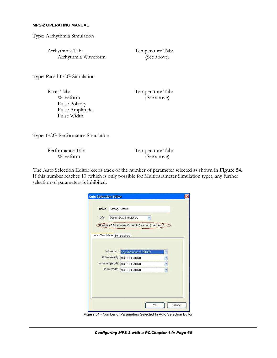Type: Arrhythmia Simulation

Arrhythmia Tab: Arrhythmia Waveform Temperature Tab: (See above)

Type: Paced ECG Simulation

Pacer Tab: Waveform Pulse Polarity Pulse Amplitude Pulse Width

Temperature Tab: (See above)

Type: ECG Performance Simulation

| Performance Tab: |  |
|------------------|--|
| Waveform         |  |

Temperature Tab: (See above)

The Auto Selection Editor keeps track of the number of parameter selected as shown in **Figure 54**. If this number reaches 10 (which is only possible for Multiparameter Simulation type), any further selection of parameters is inhibited.

|                              | Factory Default                                     |   |  |
|------------------------------|-----------------------------------------------------|---|--|
| Type                         | Paced ECG Simulation                                |   |  |
|                              | Number of Parameters Currently Selected (Max 10): 1 |   |  |
|                              |                                                     |   |  |
| Pacer Simulation Temperature |                                                     |   |  |
|                              |                                                     |   |  |
| Waveform:                    | Asynchronous at 75BPM                               |   |  |
| Pulse Polarity:              | NO SELECTION                                        |   |  |
| Pulse Amplitude:             |                                                     |   |  |
|                              | NO SELECTION                                        | Y |  |
|                              | Pulse Width: NO SELECTION                           | Ÿ |  |
|                              |                                                     |   |  |
|                              |                                                     |   |  |
|                              |                                                     |   |  |
|                              |                                                     |   |  |

**Figure 54** - Number of Parameters Selected In Auto Selection Editor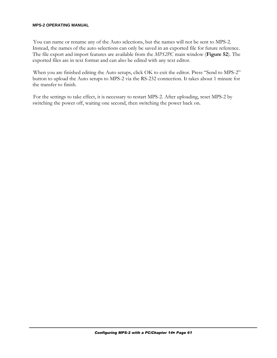You can name or rename any of the Auto selections, but the names will not be sent to MPS-2. Instead, the names of the auto selections can only be saved in an exported file for future reference. The file export and import features are available from the *MPS2PC* main window (**Figure 52**). The exported files are in text format and can also be edited with any text editor.

When you are finished editing the Auto setups, click OK to exit the editor. Press "Send to MPS-2" button to upload the Auto setups to MPS-2 via the RS-232 connection. It takes about 1 minute for the transfer to finish.

For the settings to take effect, it is necessary to restart MPS-2. After uploading, reset MPS-2 by switching the power off, waiting one second, then switching the power back on.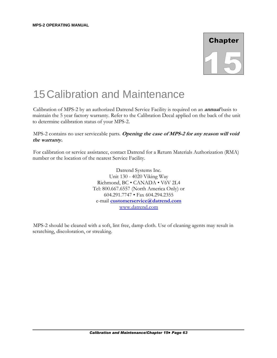

# 15 Calibration and Maintenance

Calibration of MPS-2 by an authorized Datrend Service Facility is required on an **annual** basis to maintain the 5 year factory warranty. Refer to the Calibration Decal applied on the back of the unit to determine calibration status of your MPS-2.

MPS-2 contains no user serviceable parts. **Opening the case of MPS-2 for any reason will void the warranty.**

For calibration or service assistance, contact Datrend for a Return Materials Authorization (RMA) number or the location of the nearest Service Facility.

> Datrend Systems Inc. Unit 130 - 4020 Viking Way Richmond, BC • CANADA • V6V 2L4 Tel: 800.667.6557 (North America Only) or 604.291.7747 • Fax 604.294.2355 e-mail **customerservice@datrend.com** www.datrend.com

MPS-2 should be cleaned with a soft, lint free, damp cloth. Use of cleaning agents may result in scratching, discoloration, or streaking.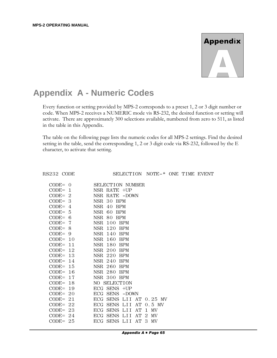# **Appendix**

# **Appendix A - Numeric Codes**

Every function or setting provided by MPS-2 corresponds to a preset 1, 2 or 3 digit number or code. When MPS-2 receives a NUMERIC mode vis RS-232, the desired function or setting will activate. There are approximately 300 selections available, numbered from zero to 511, as listed in the table in this Appendix.

The table on the following page lists the numeric codes for all MPS-2 settings. Find the desired setting in the table, send the corresponding 1, 2 or 3 digit code via RS-232, followed by the E character, to activate that setting.

RS232 CODE SELECTION NOTE-\* ONE TIME EVENT

| $CODE = 0$  | <b>SELECTION NUMBER</b> |
|-------------|-------------------------|
| $CODE = 1$  | NSR RATE +UP            |
| $CODE = 2$  | NSR RATE -DOWN          |
| $CODE = 3$  | NSR 30 BPM              |
| $CODE = 4$  | NSR 40 BPM              |
| $CODE = 5$  | NSR 60 BPM              |
| $CODE = 6$  | NSR 80 BPM              |
| $CODE = 7$  | NSR 100 BPM             |
| $CODE = 8$  | NSR 120 BPM             |
| $CODE = 9$  | NSR 140 BPM             |
| $CODE = 10$ | NSR 160 BPM             |
| $CODE = 11$ | NSR 180 BPM             |
| $CODE = 12$ | NSR 200 BPM             |
| $CODE = 13$ | NSR 220 BPM             |
| $CODE = 14$ | NSR 240 BPM             |
| $CODE = 15$ | NSR 260 BPM             |
| $CODE = 16$ | NSR 280 BPM             |
| $CODE = 17$ | NSR 300 BPM             |
| $CODE = 18$ | NO SELECTION            |
| $CODE = 19$ | ECG SENS +UP            |
| $CODE = 20$ | ECG SENS -DOWN          |
| $CODE = 21$ | ECG SENS LII AT 0.25 MV |
| $CODE = 22$ | ECG SENS LII AT 0.5 MV  |
| $CODE = 23$ | ECG SENS LII AT<br>1 MV |
| $CODE = 24$ | ECG SENS LII AT<br>2 MV |
| $CODE = 25$ | ECG SENS LII AT<br>3 MV |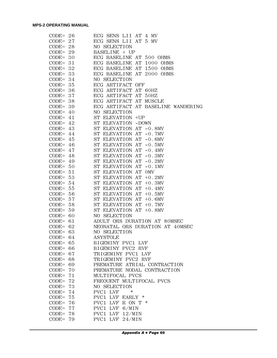| $CODE = 26$    | ECG SENS LII AT 4 MV               |
|----------------|------------------------------------|
| $CODE = 27$    | ECG SENS LII AT 5 MV               |
| $CODE = 28$    | NO SELECTION                       |
| $CODE = 29$    | BASELINE + UP                      |
| $CODE = 30$    | ECG BASELINE AT 500 OHMS           |
| $CODE = 31$    | ECG BASELINE AT 1000 OHMS          |
| $CODE = 32$    | ECG BASELINE AT 1500 OHMS          |
| $CODE = 33$    | ECG BASELINE AT 2000 OHMS          |
| CODE= $34$     | NO SELECTION                       |
| $CODE = 35$    | ECG ARTIFACT OFF                   |
| $CODE = 36$    | ECG ARTIFACT AT 60HZ               |
| $CODE = 37$    | ECG ARTIFACT AT 50HZ               |
| $CODE = 38$    | ECG ARTIFACT AT MUSCLE             |
| $CODE = 39$    | ECG ARTIFACT AT BASELINE WANDERING |
| CODE= $40$     | NO SELECTION                       |
| CODE= $41$     | ST ELEVATION +UP                   |
| CODE= $42$     | ST ELEVATION -DOWN                 |
| CODE= $43$     | ST ELEVATION AT -0.8MV             |
| CODE= $44$     | ST ELEVATION AT -0.7MV             |
| CODE= $45$     | ST ELEVATION AT -0.6MV             |
| CODE= $46$     | ST ELEVATION AT -0.5MV             |
| CODE= $47$     | ST ELEVATION AT -0.4MV             |
| CODE= $48$     | ST ELEVATION AT -0.3MV             |
| $CODE = 49$    | ST ELEVATION AT -0.2MV             |
| $CODE = 50$    | ST ELEVATION AT -0.1MV             |
| $CODE = 51$    | ST ELEVATION AT OMV                |
| $CODE = 53$    | ST ELEVATION AT +0.2MV             |
| CODE= $54$     | ST ELEVATION AT +0.3MV             |
| CODE= $55$     | ST ELEVATION AT +0.4MV             |
| $CODE = 56$    | ST ELEVATION AT +0.5MV             |
| $CODE = 57$    | ST ELEVATION AT +0.6MV             |
| $CODE = 58$    | ST ELEVATION AT +0.7MV             |
| $CODE = 59$    | ST ELEVATION AT +0.8MV             |
| $CODE = 60$    | NO SELECTION                       |
| $CODE = 61$    | ADULT QRS DURATION AT 80MSEC       |
| CODE= $62$     | NEONATAL QRS DURATION AT 40MSEC    |
| $CODE = 63$    | NO SELECTION                       |
| $CODE =$<br>64 | ASYSTOLE                           |
| $CODE = 65$    | BIGEMINY PVC1 LVF                  |
| $CODE = 66$    | BIGEMINY PVC2 RVF                  |
| CODE= $67$     | TRIGEMINY PVC1 LVF                 |
| $CODE = 68$    | TRIGEMINY PVC2 RVF                 |
| $CODE = 69$    | PREMATURE ATRIAL CONTRACTION       |
| $CODE =$<br>70 | PREMATURE NODAL CONTRACTION        |
| $CODE =$<br>71 | MULTIFOCAL PVCS                    |
| $CODE =$<br>72 | FREQUENT MULTIFOCAL PVCS           |
| $CODE =$<br>73 | NO SELECTION                       |
| $CODE =$<br>74 | PVC1 LVF<br>*                      |
| $CODE =$<br>75 | PVC1 LVF EARLY *                   |
| $CODE =$<br>76 | PVC1 LVF R ON T $*$                |
| $CODE =$<br>77 | PVC1 LVF 6/MIN                     |
| $CODE = 78$    | PVC1 LVF 12/MIN                    |
| $CODE = 79$    | PVC1 LVF 24/MIN                    |
|                |                                    |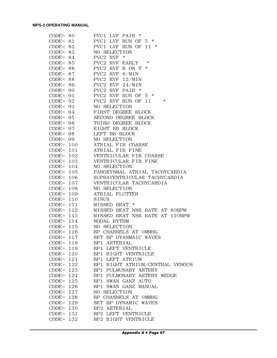| $CODE = 80$  | PVC1 LVF PAIR *                 |
|--------------|---------------------------------|
| $CODE = 81$  | PVC1 LVF RUN OF 5 *             |
| $CODE = 82$  | PVC1 LVF RUN OF 11 *            |
| $CODE = 83$  | NO SELECTION                    |
| $CODE = 84$  | PVC2 RVF *                      |
| $CODE = 85$  | PVC2 RVF EARLY<br>*             |
| $CODE = 86$  | PVC2 RVF R ON T<br>∗            |
| $CODE = 87$  | PVC2 RVF 6/MIN                  |
| $CODE = 88$  | PVC2 RVF 12/MIN                 |
| $CODE = 89$  | PVC2 RVF 24/MIN                 |
| $CODE = 90$  | PVC2 RVF PAIR *                 |
| $CODE = 91$  | PVC2 RVF RUN OF $5$ *           |
| $CODE = 92$  | $\ast$<br>PVC2 RVF RUN OF 11    |
| $CODE = 93$  | NO SELECTION                    |
|              |                                 |
| $CODE = 94$  | FIRST DEGREE BLOCK              |
| $CODE = 95$  | SECOND DEGREE BLOCK             |
| $CODE = 96$  | THIRD DEGREE BLOCK              |
| $CODE = 97$  | RIGHT BB BLOCK                  |
| $CODE = 98$  | LEFT BB BLOCK                   |
| $CODE = 99$  | NO SELECTION                    |
| $CODE = 100$ | ATRIAL FIB COARSE               |
| $CODE = 101$ | ATRIAL FIB FINE                 |
| $CODE = 102$ | VENTRICULAR FIB COARSE          |
| $CODE = 103$ | VENTRICULAR FIB FINE            |
| $CODE = 104$ | NO SELECTION                    |
| $CODE = 105$ | PAROXYSMAL ATRIAL TACHYCARDIA   |
| $CODE = 106$ | SUPRAVENTRICULAR TACHYCARDIA    |
| $CODE = 107$ | VENTRICULAR TACHYCARDIA         |
| $CODE = 108$ | NO SELECTION                    |
| $CODE = 109$ | ATRIAL FLUTTER                  |
| $CODE = 110$ | <b>SINUS</b>                    |
| $CODE = 111$ | MISSED BEAT<br>$\ast$           |
| $CODE = 112$ | MISSED BEAT NSR RATE AT 80BPM   |
| $CODE = 113$ | MISSED BEAT NSR RATE AT 120BPM  |
| $CODE = 114$ | NODAL RYTHM                     |
| $CODE = 115$ | NO SELECTION                    |
| $CODE = 116$ | BP CHANNELS AT OMMHG            |
| $CODE = 117$ | SET BP DYANMAIC WAVES           |
| $CODE = 118$ | BP1 ARTERIAL                    |
| $CODE = 119$ | BP1 LEFT VENTRICLE              |
| $CODE = 120$ | BP1 RIGHT VENTRICLE             |
| $CODE = 121$ | BP1 LEFT ATRIUM                 |
| $CODE = 122$ | BP1 RIGHT ATRIUM/CENTRAL VENOUS |
| $CODE = 123$ | BP1 PULMUNARY ARTERY            |
| $CODE = 124$ | BP1 PULMONARY ARTERY WEDGE      |
| $CODE = 125$ | BP1 SWAN GANZ AUTO              |
| $CODE = 126$ | BP1 SWAN GANZ MANUAL            |
| $CODE = 127$ | NO SELECTION                    |
| $CODE = 128$ | BP CHANNELS AT OMMHG            |
| $CODE = 129$ | SET BP DYNAMIC WAVES            |
| $CODE = 130$ | BP2 ARTERIAL                    |
| $CODE = 131$ | BP2 LEFT VENTRICLE              |
| $CODE = 132$ | BP2 RIGHT VENTRICLE             |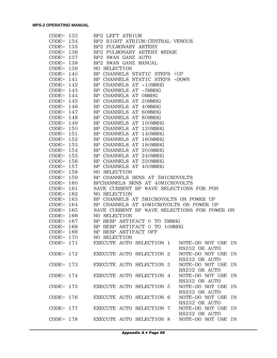| $CODE = 133$ | BP2 LEFT ATRIUM                                                     |
|--------------|---------------------------------------------------------------------|
| $CODE = 134$ | BP2 RIGHT ATRIUM/CENTRAL VENOUS                                     |
| $CODE = 135$ | BP2 PULMONARY ARTERY                                                |
| $CODE = 136$ | BP2 PULMONARY ARTERY WEDGE                                          |
| $CODE = 137$ | BP2 SWAN GANZ AUTO                                                  |
| $CODE = 138$ | BP2 SWAN GANZ MANUAL                                                |
| $CODE = 139$ | NO SELECTION                                                        |
| $CODE = 140$ | BP CHANNELS STATIC STEPS +UP                                        |
| $CODE = 141$ | BP CHANNELS STATIC STEPS -DOWN                                      |
| $CODE = 142$ | BP CHANNELS AT -10MMHG                                              |
|              | BP CHANNELS AT -5MMHG                                               |
| $CODE = 143$ |                                                                     |
| $CODE = 144$ | BP CHANNELS AT OMMHG                                                |
| $CODE = 145$ | BP CHANNELS AT 20MMHG                                               |
| CODE= $146$  | BP CHANNELS AT 40MMHG                                               |
| $CODE = 147$ | BP CHANNELS AT 60MMHG                                               |
| $CODE = 148$ | BP CHANNELS AT 80MMHG                                               |
| $CODE = 149$ | BP CHANNELS AT 100MMHG                                              |
| $CODE = 150$ | BP CHANNELS AT 120MMHG                                              |
| $CODE = 151$ | BP CHANNELS AT 140MMHG                                              |
| CODE= $152$  | BP CHANNELS AT 160MMHG                                              |
| $CODE = 153$ | BP CHANNELS AT 180MMHG                                              |
| $CODE = 154$ | BP CHANNELS AT 200MMHG                                              |
| $CODE = 155$ | BP CHANNELS AT 240MMHG                                              |
| $CODE = 156$ | BP CHANNELS AT 320MMHG                                              |
| $CODE = 157$ | BP CHANNELS AT 400MMHG                                              |
| $CODE = 158$ | NO SELECTION                                                        |
| $CODE = 159$ | BP CHANNELS SENS AT 5MICROVOLTS                                     |
| $CODE = 160$ | BPCHANNELS SENS AT 40MICROVOLTS                                     |
| $CODE = 161$ | SAVE CURRENT BP WAVE SELECTIONS FOR PON                             |
| $CODE = 162$ | NO SELECTION                                                        |
| $CODE = 163$ | BP CHANNELS AT 5MICROVOLTS ON POWER UP                              |
|              | BP CHANNELS AT 40MICROVOLTS ON POWER UP                             |
| CODE= $164$  |                                                                     |
| $CODE = 165$ | SAVE CURRENT BP WAVE SELECTIONS FOR POWER ON                        |
| $CODE = 166$ | NO SELECTION                                                        |
| $CODE = 167$ | BP RESP ARTIFACT 0 TO 5MMHG                                         |
| $CODE = 168$ | BP RESP ARTIFACT 0 TO 10MMHG                                        |
| $CODE = 169$ | BP RESP ARTIFACT OFF                                                |
| $CODE = 170$ | NO SELECTION                                                        |
| $CODE = 171$ | EXECUTE AUTO SELECTION 1<br>NOTE-DO NOT USE IN<br>RS232 OR AUTO     |
| $CODE = 172$ | EXECUTE AUTO SELECTION 2<br>NOTE-DO NOT USE IN<br>RS232 OR AUTO     |
| $CODE = 173$ | EXECUTE AUTO SELECTION 3<br>NOTE-DO NOT USE IN<br>RS232 OR AUTO     |
| CODE= $174$  | NOTE-DO NOT USE IN<br>EXECUTE AUTO SELECTION 4<br>RS232 OR AUTO     |
| $CODE = 175$ | EXECUTE AUTO SELECTION 5<br>NOTE-DO NOT USE<br>TN.<br>RS232 OR AUTO |
| $CODE = 176$ | EXECUTE AUTO SELECTION 6<br>NOTE-DO NOT USE<br>TN.<br>RS232 OR AUTO |
| $CODE = 177$ | EXECUTE AUTO SELECTION 7<br>NOTE-DO NOT USE IN<br>RS232 OR AUTO     |
| $CODE = 178$ | EXECUTE AUTO SELECTION 8<br>NOTE-DO NOT USE IN                      |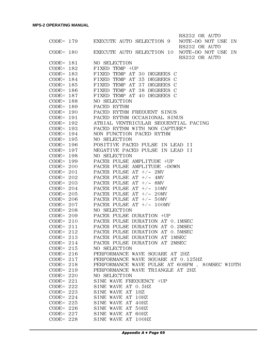|              |              |                                               | RS232 OR AUTO      |
|--------------|--------------|-----------------------------------------------|--------------------|
|              |              | CODE= 179 EXECUTE AUTO SELECTION 9            | NOTE-DO NOT USE IN |
|              |              |                                               | RS232 OR AUTO      |
| $CODE = 180$ |              | EXECUTE AUTO SELECTION 10 NOTE-DO NOT USE IN  |                    |
|              |              |                                               | RS232 OR AUTO      |
|              | $CODE = 181$ | NO SELECTION                                  |                    |
| $CODE = 182$ |              | FIXED TEMP +UP                                |                    |
| $CODE = 183$ |              | FIXED TEMP AT 30 DEGREES C                    |                    |
| $CODE = 184$ |              | FIXED TEMP AT 35 DEGREES C                    |                    |
| $CODE = 185$ |              | FIXED TEMP AT 37 DEGREES C                    |                    |
| $CODE = 186$ |              | FIXED TEMP AT 38 DEGREES C                    |                    |
| $CODE = 187$ |              | FIXED TEMP AT 40 DEGREES C                    |                    |
| $CODE = 188$ |              | NO SELECTION                                  |                    |
| $CODE = 189$ |              | PACED RYTHM                                   |                    |
| $CODE = 190$ |              | PACED RYTHM FREQUENT SINUS                    |                    |
| $CODE = 191$ |              | PACED RYTHM OCCASIONAL SINUS                  |                    |
| $CODE = 192$ |              | ATRIAL VENTRICULAR SEQUENTIAL PACING          |                    |
| $CODE = 193$ |              | PACED RYTHM WITH NON CAPTURE*                 |                    |
| $CODE = 194$ |              | NON FUNCTION PACED RYTHM                      |                    |
| $CODE = 195$ |              | NO SELECTION                                  |                    |
| $CODE = 196$ |              | POSITIVE PACED PULSE IN LEAD II               |                    |
| $CODE = 197$ |              | NEGATIVE PACED PULSE IN LEAD II               |                    |
| $CODE = 198$ |              | NO SELECTION                                  |                    |
| $CODE = 199$ |              | PACER PULSE AMPLITUDE +UP                     |                    |
| $CODE = 200$ |              | PACER PULSE AMPLITUDE -DOWN                   |                    |
| $CODE = 201$ |              | PACER PULSE AT $+/-$ 2MV                      |                    |
| $CODE = 202$ |              | PACER PULSE AT $+/-$ 4MV                      |                    |
| $CODE = 203$ |              | PACER PULSE AT +/- 8MV                        |                    |
| $CODE = 204$ |              | PACER PULSE AT $+/- 10MV$                     |                    |
| $CODE = 205$ |              | PACER PULSE AT $+/- 20MV$                     |                    |
| $CODE = 206$ |              | PACER PULSE AT $+/-$ 50MV                     |                    |
| $CODE = 207$ |              | PACER PULSE AT $+/- 100$ MV                   |                    |
| $CODE = 208$ |              | NO SELECTION                                  |                    |
| $CODE = 209$ |              | PACER PULSE DURATION +UP                      |                    |
| $CODE = 210$ |              | PACER PULSE DURATION AT 0.1MSEC               |                    |
|              | $CODE = 211$ | PACER PULSE DURATION AT 0.2MSEC               |                    |
| $CODE = 212$ |              | PACER PULSE DURATION AT 0.5MSEC               |                    |
| $CODE = 213$ |              | PACER PULSE DURATION AT 1MSEC                 |                    |
| $CODE = 214$ |              | PACER PULSE DURATION AT 2MSEC                 |                    |
|              | $CODE = 215$ | NO SELECTION                                  |                    |
| $CODE = 216$ |              | PERFORMANCE WAVE SQUARE AT 2HZ                |                    |
|              | $CODE = 217$ | PERFORMANCE WAVE SQUARE AT 0.125HZ            |                    |
| $CODE = 218$ |              | PERFORMANCE WAVE PULSE AT 60BPM, 80MSEC WIDTH |                    |
| $CODE = 219$ |              | PERFORMANCE WAVE TRIANGLE AT 2HZ              |                    |
| $CODE = 220$ |              | NO SELECTION                                  |                    |
| $CODE = 221$ |              | SINE WAVE FREQUENCY +UP                       |                    |
| $CODE = 222$ |              | SINE WAVE AT 0.5HZ                            |                    |
| $CODE = 223$ |              | SINE WAVE AT 1HZ                              |                    |
| $CODE = 224$ |              | SINE WAVE AT 10HZ                             |                    |
| $CODE = 225$ |              | SINE WAVE AT 40HZ                             |                    |
| $CODE = 226$ |              | SINE WAVE AT 50HZ                             |                    |
| $CODE = 227$ |              | SINE WAVE AT 60HZ                             |                    |
| $CODE = 228$ |              | SINE WAVE AT 100HZ                            |                    |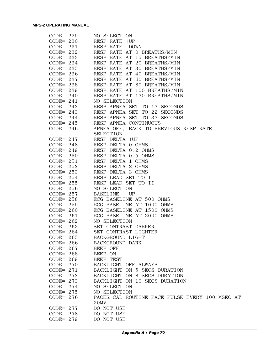|              | CODE= 229 NO SELECTION                                                                                                                      |
|--------------|---------------------------------------------------------------------------------------------------------------------------------------------|
|              | $CODE = 230$ RESP RATE $+UP$                                                                                                                |
|              | $CODE = 231$ RESP RATE -DOWN                                                                                                                |
|              | CODE= $232$ RESP RATE AT 0 BREATHS/MIN                                                                                                      |
|              | $\texttt{CODE= 233} \qquad \texttt{RESP RATE AT 15 BREATHS/MIN}$                                                                            |
|              | $\texttt{CODE=}\ 234 \qquad \quad \texttt{RESP}\ \texttt{RATE}\ \texttt{AT}\ 20\ \texttt{BREATHS/MIN}$                                      |
|              | $\texttt{CODE=}\ \ 235\qquad\qquad \texttt{RESP}\ \ \texttt{RATE}\ \ \texttt{AT}\ \ 30\ \ \texttt{BREATHS/MIN}$                             |
|              | $\texttt{CODE=}\ \ 236\qquad\quad \texttt{RESP}\ \ \texttt{RATE}\ \ \texttt{AT}\ \ 40\ \ \texttt{BREATHS/MIN}$                              |
|              | $\texttt{CODE=}\ 237\qquad\qquad \texttt{RESP}\ \texttt{RATE}\ \texttt{AT}\ 60\ \texttt{BREATHS/MIN}$                                       |
|              | $CODE = 238$ RESP RATE AT 80 BREATHS/MIN                                                                                                    |
|              | $CODE = 239$ RESP RATE AT 100 BREATHS/MIN                                                                                                   |
|              | CODE= 240 RESP RATE AT 120 BREATHS/MIN                                                                                                      |
|              | $CODE = 241$ NO SELECTION                                                                                                                   |
|              | $\texttt{CODE} = 242 \qquad \qquad \texttt{RESP} \texttt{APNEA} \texttt{SET} \texttt{TO} 12 \texttt{SECONDS}$                               |
|              |                                                                                                                                             |
|              | $\texttt{CODE} = 243 \qquad \qquad \texttt{RESP} \quad \texttt{APNEA} \quad \texttt{SET} \quad \texttt{TO} \quad 22 \quad \texttt{SECONDS}$ |
|              | $\texttt{CODE} = 244 \qquad \qquad \texttt{RESP} \quad \texttt{APNEA} \quad \texttt{SET} \quad \texttt{TO} \quad 32 \quad \texttt{SECONDS}$ |
|              | CODE= 245 RESP APNEA CONTINUOUS                                                                                                             |
|              | CODE= 246 APNEA OFF, BACK TO PREVIOUS RESP RATE                                                                                             |
|              | <b>SELECTION</b>                                                                                                                            |
|              | CODE= $247$ RESP DELTA +UP                                                                                                                  |
|              | CODE= 248 RESP DELTA 0 OHMS                                                                                                                 |
|              | CODE= 249 RESP DELTA 0.2 OHMS                                                                                                               |
|              | CODE= 250 RESP DELTA 0.5 OHMS                                                                                                               |
|              | CODE= 251 RESP DELTA 1 OHMS                                                                                                                 |
|              | CODE= 252 RESP DELTA 2 OHMS                                                                                                                 |
|              | CODE= 253 RESP DELTA 3 OHMS                                                                                                                 |
|              | CODE= 254 RESP LEAD SET TO I                                                                                                                |
|              | CODE= 255 RESP LEAD SET TO II                                                                                                               |
|              | CODE= 256 NO SELECTION                                                                                                                      |
|              | $CODE = 257$ BASELINE + UP                                                                                                                  |
|              | CODE= 258 ECG BASELINE AT 500 OHMS                                                                                                          |
|              | CODE= 259 ECG BASELINE AT 1000 OHMS                                                                                                         |
|              | CODE= 260 ECG BASELINE AT 1500 OHMS                                                                                                         |
|              | CODE= 261 ECG BASELINE AT 2000 OHMS                                                                                                         |
|              | CODE= 262 NO SELECTION                                                                                                                      |
|              | CODE= 263 SET CONTRAST DARKER                                                                                                               |
|              | CODE= 264 SET CONTRAST LIGHTER                                                                                                              |
| $CODE = 265$ | BACKGROUND LIGHT                                                                                                                            |
| $CODE = 266$ | BACKGROUND DARK                                                                                                                             |
| $CODE = 267$ | BEEP OFF                                                                                                                                    |
| $CODE = 268$ | BEEP ON                                                                                                                                     |
| $CODE = 269$ | BEEP TEST                                                                                                                                   |
| $CODE = 270$ | BACKLIGHT OFF ALWAYS                                                                                                                        |
| $CODE = 271$ | BACKLIGHT ON 5 SECS DURATION                                                                                                                |
| $CODE = 272$ | BACKLIGHT ON 8 SECS DURATION                                                                                                                |
| $CODE = 273$ | BACKLIGHT ON 10 SECS DURATION                                                                                                               |
| $CODE = 274$ | NO SELECTION                                                                                                                                |
| $CODE = 275$ | NO SELECTION                                                                                                                                |
| $CODE = 276$ | PACER CAL ROUTINE PACE PULSE EVERY 100 MSEC AT                                                                                              |
|              | 20MV                                                                                                                                        |
| $CODE = 277$ | DO NOT USE                                                                                                                                  |
| $CODE = 278$ | DO NOT USE                                                                                                                                  |
| $CODE = 279$ | DO NOT USE                                                                                                                                  |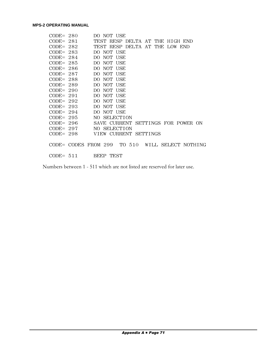|  | $CODE = 280$ | DO NOT USE                                      |  |
|--|--------------|-------------------------------------------------|--|
|  |              | CODE= 281 TEST RESP DELTA AT THE HIGH END       |  |
|  |              | CODE= 282 TEST RESP DELTA AT THE LOW END        |  |
|  |              | $CODE = 283$ DO NOT USE                         |  |
|  |              | $CODE = 284$ DO NOT USE                         |  |
|  |              | $CODE = 285$ DO NOT USE                         |  |
|  |              | CODE= 286 DO NOT USE                            |  |
|  |              | $CODE = 287$ DO NOT USE                         |  |
|  |              | $CODE = 288$ DO NOT USE                         |  |
|  |              | $CODE = 289$ DO NOT USE                         |  |
|  |              | $CODE = 290$ DO NOT USE                         |  |
|  |              | CODE= 291 DO NOT USE                            |  |
|  |              | $CODE = 292$ DO NOT USE                         |  |
|  |              | $CODE = 293$ DO NOT USE                         |  |
|  |              | $CODE = 294$ DO NOT USE                         |  |
|  |              | CODE= 295 NO SELECTION                          |  |
|  |              | CODE= 296 SAVE CURRENT SETTINGS FOR POWER ON    |  |
|  |              | CODE= 297 NO SELECTION                          |  |
|  |              | CODE= 298 VIEW CURRENT SETTINGS                 |  |
|  |              |                                                 |  |
|  |              | CODE= CODES FROM 299 TO 510 WILL SELECT NOTHING |  |
|  |              |                                                 |  |
|  | $CODE = 511$ | BEEP TEST                                       |  |
|  |              |                                                 |  |

Numbers between 1 - 511 which are not listed are reserved for later use.